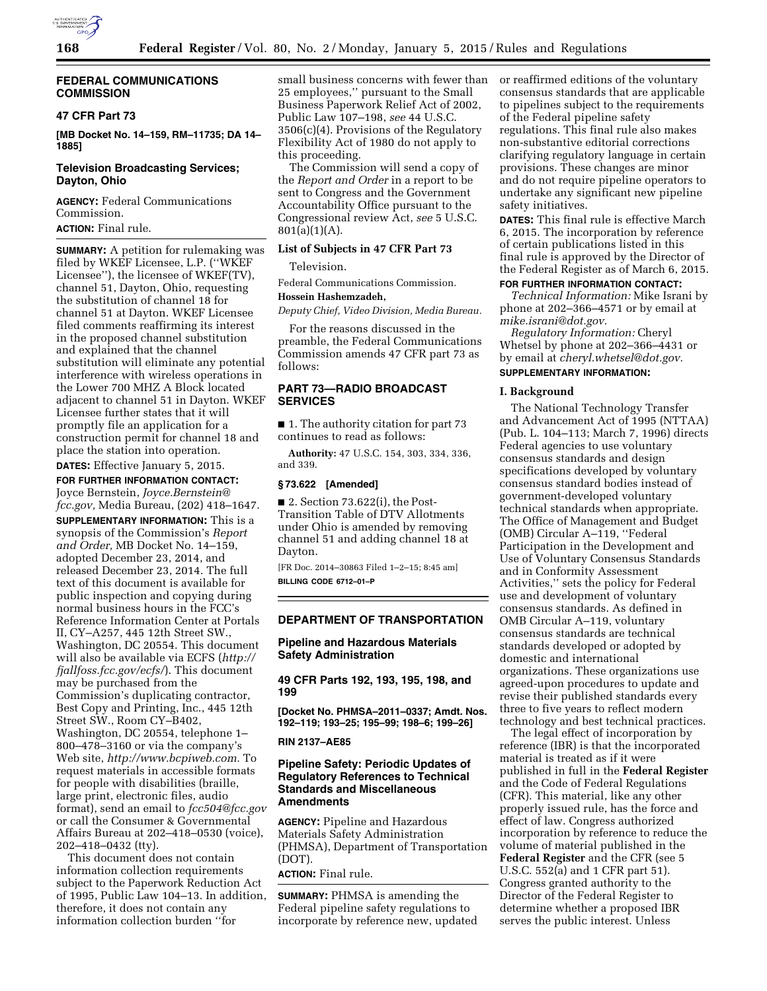

## **FEDERAL COMMUNICATIONS COMMISSION**

# **47 CFR Part 73**

**[MB Docket No. 14–159, RM–11735; DA 14– 1885]** 

## **Television Broadcasting Services; Dayton, Ohio**

**AGENCY:** Federal Communications Commission.

**ACTION:** Final rule.

**SUMMARY:** A petition for rulemaking was filed by WKEF Licensee, L.P. (''WKEF Licensee''), the licensee of WKEF(TV), channel 51, Dayton, Ohio, requesting the substitution of channel 18 for channel 51 at Dayton. WKEF Licensee filed comments reaffirming its interest in the proposed channel substitution and explained that the channel substitution will eliminate any potential interference with wireless operations in the Lower 700 MHZ A Block located adjacent to channel 51 in Dayton. WKEF Licensee further states that it will promptly file an application for a construction permit for channel 18 and place the station into operation.

**DATES:** Effective January 5, 2015. **FOR FURTHER INFORMATION CONTACT:**  Joyce Bernstein, *[Joyce.Bernstein@](mailto:Joyce.Bernstein@fcc.gov) [fcc.gov,](mailto:Joyce.Bernstein@fcc.gov)* Media Bureau, (202) 418–1647. **SUPPLEMENTARY INFORMATION:** This is a synopsis of the Commission's *Report and Order,* MB Docket No. 14–159, adopted December 23, 2014, and released December 23, 2014. The full text of this document is available for public inspection and copying during normal business hours in the FCC's Reference Information Center at Portals II, CY–A257, 445 12th Street SW., Washington, DC 20554. This document will also be available via ECFS (*[http://](http://fjallfoss.fcc.gov/ecfs/)  [fjallfoss.fcc.gov/ecfs/](http://fjallfoss.fcc.gov/ecfs/)*). This document may be purchased from the Commission's duplicating contractor, Best Copy and Printing, Inc., 445 12th

Street SW., Room CY–B402, Washington, DC 20554, telephone 1– 800–478–3160 or via the company's Web site, *[http://www.bcpiweb.com.](http://www.bcpiweb.com)* To request materials in accessible formats for people with disabilities (braille, large print, electronic files, audio format), send an email to *[fcc504@fcc.gov](mailto:fcc504@fcc.gov)*  or call the Consumer & Governmental Affairs Bureau at 202–418–0530 (voice), 202–418–0432 (tty).

This document does not contain information collection requirements subject to the Paperwork Reduction Act of 1995, Public Law 104–13. In addition, therefore, it does not contain any information collection burden ''for

small business concerns with fewer than 25 employees,'' pursuant to the Small Business Paperwork Relief Act of 2002, Public Law 107–198, *see* 44 U.S.C. 3506(c)(4). Provisions of the Regulatory Flexibility Act of 1980 do not apply to this proceeding.

The Commission will send a copy of the *Report and Order* in a report to be sent to Congress and the Government Accountability Office pursuant to the Congressional review Act, *see* 5 U.S.C.  $801(a)(1)(A)$ .

# **List of Subjects in 47 CFR Part 73**

Television.

Federal Communications Commission.

### **Hossein Hashemzadeh,**

*Deputy Chief, Video Division, Media Bureau.* 

For the reasons discussed in the preamble, the Federal Communications Commission amends 47 CFR part 73 as follows:

# **PART 73—RADIO BROADCAST SERVICES**

■ 1. The authority citation for part 73 continues to read as follows:

**Authority:** 47 U.S.C. 154, 303, 334, 336, and 339.

### **§ 73.622 [Amended]**

 $\blacksquare$  2. Section 73.622(i), the Post-Transition Table of DTV Allotments under Ohio is amended by removing channel 51 and adding channel 18 at Dayton.

[FR Doc. 2014–30863 Filed 1–2–15; 8:45 am] **BILLING CODE 6712–01–P** 

### **DEPARTMENT OF TRANSPORTATION**

## **Pipeline and Hazardous Materials Safety Administration**

**49 CFR Parts 192, 193, 195, 198, and 199** 

**[Docket No. PHMSA–2011–0337; Amdt. Nos. 192–119; 193–25; 195–99; 198–6; 199–26]** 

**RIN 2137–AE85** 

# **Pipeline Safety: Periodic Updates of Regulatory References to Technical Standards and Miscellaneous Amendments**

**AGENCY:** Pipeline and Hazardous Materials Safety Administration (PHMSA), Department of Transportation (DOT).

# **ACTION:** Final rule.

**SUMMARY:** PHMSA is amending the Federal pipeline safety regulations to incorporate by reference new, updated or reaffirmed editions of the voluntary consensus standards that are applicable to pipelines subject to the requirements of the Federal pipeline safety regulations. This final rule also makes non-substantive editorial corrections clarifying regulatory language in certain provisions. These changes are minor and do not require pipeline operators to undertake any significant new pipeline safety initiatives.

**DATES:** This final rule is effective March 6, 2015. The incorporation by reference of certain publications listed in this final rule is approved by the Director of the Federal Register as of March 6, 2015.

# **FOR FURTHER INFORMATION CONTACT:**

*Technical Information:* Mike Israni by phone at 202–366–4571 or by email at *[mike.israni@dot.gov.](mailto:mike.israni@dot.gov)* 

*Regulatory Information:* Cheryl Whetsel by phone at 202–366–4431 or by email at *[cheryl.whetsel@dot.gov.](mailto:cheryl.whetsel@dot.gov)*  **SUPPLEMENTARY INFORMATION:** 

### **I. Background**

The National Technology Transfer and Advancement Act of 1995 (NTTAA) (Pub. L. 104–113; March 7, 1996) directs Federal agencies to use voluntary consensus standards and design specifications developed by voluntary consensus standard bodies instead of government-developed voluntary technical standards when appropriate. The Office of Management and Budget (OMB) Circular A–119, ''Federal Participation in the Development and Use of Voluntary Consensus Standards and in Conformity Assessment Activities,'' sets the policy for Federal use and development of voluntary consensus standards. As defined in OMB Circular A–119, voluntary consensus standards are technical standards developed or adopted by domestic and international organizations. These organizations use agreed-upon procedures to update and revise their published standards every three to five years to reflect modern technology and best technical practices.

The legal effect of incorporation by reference (IBR) is that the incorporated material is treated as if it were published in full in the **Federal Register**  and the Code of Federal Regulations (CFR). This material, like any other properly issued rule, has the force and effect of law. Congress authorized incorporation by reference to reduce the volume of material published in the **Federal Register** and the CFR (see 5 U.S.C. 552(a) and 1 CFR part 51). Congress granted authority to the Director of the Federal Register to determine whether a proposed IBR serves the public interest. Unless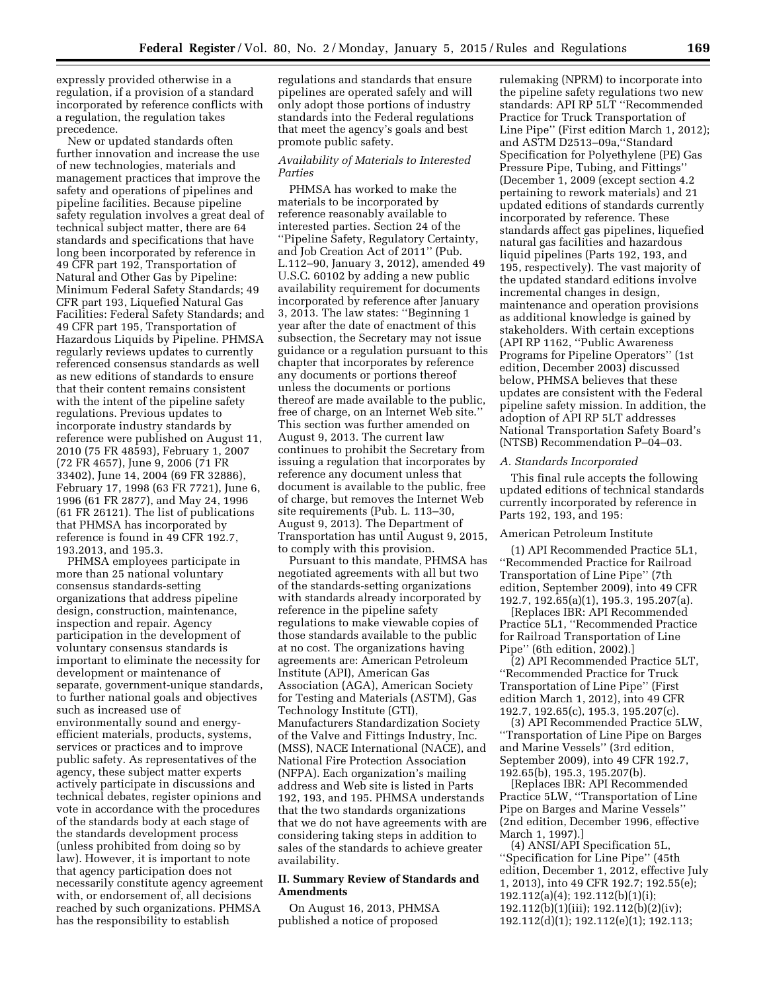expressly provided otherwise in a regulation, if a provision of a standard incorporated by reference conflicts with a regulation, the regulation takes precedence.

New or updated standards often further innovation and increase the use of new technologies, materials and management practices that improve the safety and operations of pipelines and pipeline facilities. Because pipeline safety regulation involves a great deal of technical subject matter, there are 64 standards and specifications that have long been incorporated by reference in 49 CFR part 192, Transportation of Natural and Other Gas by Pipeline: Minimum Federal Safety Standards; 49 CFR part 193, Liquefied Natural Gas Facilities: Federal Safety Standards; and 49 CFR part 195, Transportation of Hazardous Liquids by Pipeline. PHMSA regularly reviews updates to currently referenced consensus standards as well as new editions of standards to ensure that their content remains consistent with the intent of the pipeline safety regulations. Previous updates to incorporate industry standards by reference were published on August 11, 2010 (75 FR 48593), February 1, 2007 (72 FR 4657), June 9, 2006 (71 FR 33402), June 14, 2004 (69 FR 32886), February 17, 1998 (63 FR 7721), June 6, 1996 (61 FR 2877), and May 24, 1996 (61 FR 26121). The list of publications that PHMSA has incorporated by reference is found in 49 CFR 192.7, 193.2013, and 195.3.

PHMSA employees participate in more than 25 national voluntary consensus standards-setting organizations that address pipeline design, construction, maintenance, inspection and repair. Agency participation in the development of voluntary consensus standards is important to eliminate the necessity for development or maintenance of separate, government-unique standards, to further national goals and objectives such as increased use of environmentally sound and energyefficient materials, products, systems, services or practices and to improve public safety. As representatives of the agency, these subject matter experts actively participate in discussions and technical debates, register opinions and vote in accordance with the procedures of the standards body at each stage of the standards development process (unless prohibited from doing so by law). However, it is important to note that agency participation does not necessarily constitute agency agreement with, or endorsement of, all decisions reached by such organizations. PHMSA has the responsibility to establish

regulations and standards that ensure pipelines are operated safely and will only adopt those portions of industry standards into the Federal regulations that meet the agency's goals and best promote public safety.

### *Availability of Materials to Interested Parties*

PHMSA has worked to make the materials to be incorporated by reference reasonably available to interested parties. Section 24 of the ''Pipeline Safety, Regulatory Certainty, and Job Creation Act of 2011'' (Pub. L.112–90, January 3, 2012), amended 49 U.S.C. 60102 by adding a new public availability requirement for documents incorporated by reference after January 3, 2013. The law states: ''Beginning 1 year after the date of enactment of this subsection, the Secretary may not issue guidance or a regulation pursuant to this chapter that incorporates by reference any documents or portions thereof unless the documents or portions thereof are made available to the public, free of charge, on an Internet Web site.'' This section was further amended on August 9, 2013. The current law continues to prohibit the Secretary from issuing a regulation that incorporates by reference any document unless that document is available to the public, free of charge, but removes the Internet Web site requirements (Pub. L. 113–30, August 9, 2013). The Department of Transportation has until August 9, 2015, to comply with this provision.

Pursuant to this mandate, PHMSA has negotiated agreements with all but two of the standards-setting organizations with standards already incorporated by reference in the pipeline safety regulations to make viewable copies of those standards available to the public at no cost. The organizations having agreements are: American Petroleum Institute (API), American Gas Association (AGA), American Society for Testing and Materials (ASTM), Gas Technology Institute (GTI), Manufacturers Standardization Society of the Valve and Fittings Industry, Inc. (MSS), NACE International (NACE), and National Fire Protection Association (NFPA). Each organization's mailing address and Web site is listed in Parts 192, 193, and 195. PHMSA understands that the two standards organizations that we do not have agreements with are considering taking steps in addition to sales of the standards to achieve greater availability.

# **II. Summary Review of Standards and Amendments**

On August 16, 2013, PHMSA published a notice of proposed

rulemaking (NPRM) to incorporate into the pipeline safety regulations two new standards: API RP 5LT ''Recommended Practice for Truck Transportation of Line Pipe'' (First edition March 1, 2012); and ASTM D2513–09a,''Standard Specification for Polyethylene (PE) Gas Pressure Pipe, Tubing, and Fittings'' (December 1, 2009 (except section 4.2 pertaining to rework materials) and 21 updated editions of standards currently incorporated by reference. These standards affect gas pipelines, liquefied natural gas facilities and hazardous liquid pipelines (Parts 192, 193, and 195, respectively). The vast majority of the updated standard editions involve incremental changes in design, maintenance and operation provisions as additional knowledge is gained by stakeholders. With certain exceptions (API RP 1162, ''Public Awareness Programs for Pipeline Operators'' (1st edition, December 2003) discussed below, PHMSA believes that these updates are consistent with the Federal pipeline safety mission. In addition, the adoption of API RP 5LT addresses National Transportation Safety Board's (NTSB) Recommendation P–04–03.

### *A. Standards Incorporated*

This final rule accepts the following updated editions of technical standards currently incorporated by reference in Parts 192, 193, and 195:

# American Petroleum Institute

(1) API Recommended Practice 5L1, ''Recommended Practice for Railroad Transportation of Line Pipe'' (7th edition, September 2009), into 49 CFR 192.7, 192.65(a)(1), 195.3, 195.207(a).

[Replaces IBR: API Recommended Practice 5L1, ''Recommended Practice for Railroad Transportation of Line Pipe'' (6th edition, 2002).]

(2) API Recommended Practice 5LT, ''Recommended Practice for Truck Transportation of Line Pipe'' (First edition March 1, 2012), into 49 CFR 192.7, 192.65(c), 195.3, 195.207(c).

(3) API Recommended Practice 5LW, ''Transportation of Line Pipe on Barges and Marine Vessels'' (3rd edition, September 2009), into 49 CFR 192.7, 192.65(b), 195.3, 195.207(b).

[Replaces IBR: API Recommended Practice 5LW, ''Transportation of Line Pipe on Barges and Marine Vessels'' (2nd edition, December 1996, effective March 1, 1997).]

(4) ANSI/API Specification 5L, ''Specification for Line Pipe'' (45th edition, December 1, 2012, effective July 1, 2013), into 49 CFR 192.7; 192.55(e); 192.112(a)(4); 192.112(b)(1)(i); 192.112(b)(1)(iii); 192.112(b)(2)(iv); 192.112(d)(1); 192.112(e)(1); 192.113;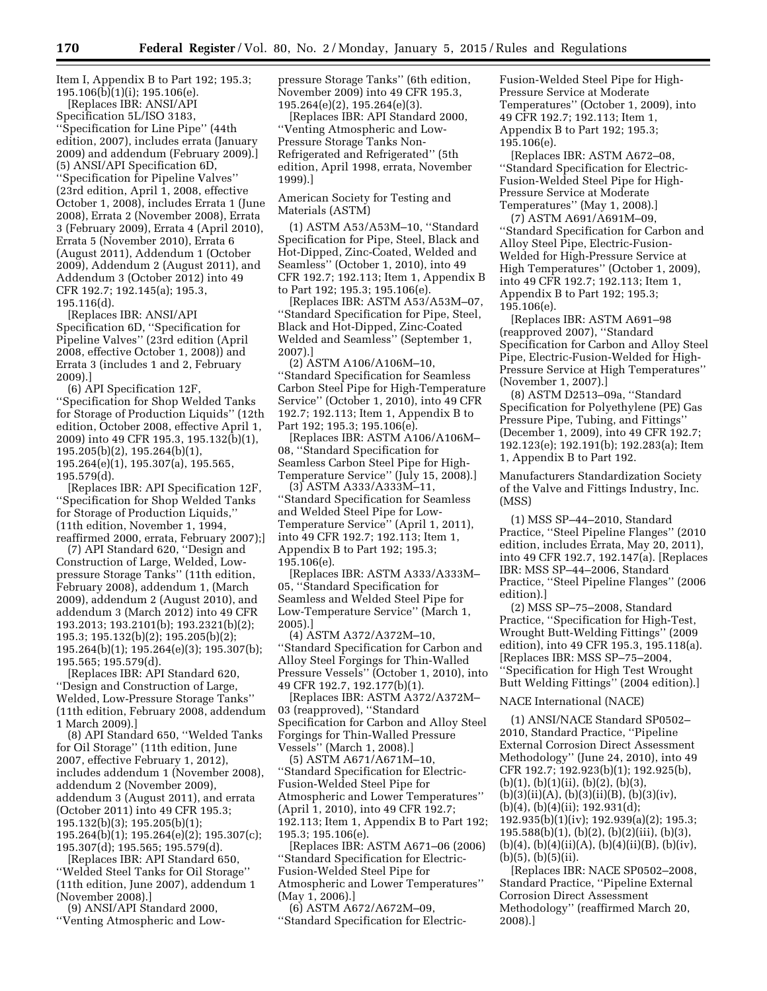Item I, Appendix B to Part 192; 195.3; 195.106(b)(1)(i); 195.106(e).

[Replaces IBR: ANSI/API Specification 5L/ISO 3183, ''Specification for Line Pipe'' (44th edition, 2007), includes errata (January 2009) and addendum (February 2009).] (5) ANSI/API Specification 6D, ''Specification for Pipeline Valves'' (23rd edition, April 1, 2008, effective October 1, 2008), includes Errata 1 (June 2008), Errata 2 (November 2008), Errata 3 (February 2009), Errata 4 (April 2010), Errata 5 (November 2010), Errata 6 (August 2011), Addendum 1 (October 2009), Addendum 2 (August 2011), and Addendum 3 (October 2012) into 49 CFR 192.7; 192.145(a); 195.3, 195.116(d).

[Replaces IBR: ANSI/API Specification 6D, ''Specification for Pipeline Valves'' (23rd edition (April 2008, effective October 1, 2008)) and Errata 3 (includes 1 and 2, February 2009).]

(6) API Specification 12F, ''Specification for Shop Welded Tanks for Storage of Production Liquids'' (12th edition, October 2008, effective April 1, 2009) into 49 CFR 195.3, 195.132(b)(1), 195.205(b)(2), 195.264(b)(1), 195.264(e)(1), 195.307(a), 195.565, 195.579(d).

[Replaces IBR: API Specification 12F, ''Specification for Shop Welded Tanks for Storage of Production Liquids,'' (11th edition, November 1, 1994, reaffirmed 2000, errata, February 2007);]

(7) API Standard 620, ''Design and Construction of Large, Welded, Lowpressure Storage Tanks'' (11th edition, February 2008), addendum 1, (March 2009), addendum 2 (August 2010), and addendum 3 (March 2012) into 49 CFR 193.2013; 193.2101(b); 193.2321(b)(2); 195.3; 195.132(b)(2); 195.205(b)(2); 195.264(b)(1); 195.264(e)(3); 195.307(b); 195.565; 195.579(d).

[Replaces IBR: API Standard 620, ''Design and Construction of Large, Welded, Low-Pressure Storage Tanks'' (11th edition, February 2008, addendum 1 March 2009).]

(8) API Standard 650, ''Welded Tanks for Oil Storage'' (11th edition, June 2007, effective February 1, 2012), includes addendum 1 (November 2008), addendum 2 (November 2009), addendum 3 (August 2011), and errata (October 2011) into 49 CFR 195.3; 195.132(b)(3); 195.205(b)(1); 195.264(b)(1); 195.264(e)(2); 195.307(c); 195.307(d); 195.565; 195.579(d).

[Replaces IBR: API Standard 650, ''Welded Steel Tanks for Oil Storage'' (11th edition, June 2007), addendum 1 (November 2008).]

(9) ANSI/API Standard 2000, ''Venting Atmospheric and Lowpressure Storage Tanks'' (6th edition, November 2009) into 49 CFR 195.3, 195.264(e)(2), 195.264(e)(3).

[Replaces IBR: API Standard 2000, ''Venting Atmospheric and Low-Pressure Storage Tanks Non-Refrigerated and Refrigerated'' (5th edition, April 1998, errata, November 1999).]

American Society for Testing and Materials (ASTM)

(1) ASTM A53/A53M–10, ''Standard Specification for Pipe, Steel, Black and Hot-Dipped, Zinc-Coated, Welded and Seamless'' (October 1, 2010), into 49 CFR 192.7; 192.113; Item 1, Appendix B to Part 192; 195.3; 195.106(e).

[Replaces IBR: ASTM A53/A53M–07, ''Standard Specification for Pipe, Steel, Black and Hot-Dipped, Zinc-Coated Welded and Seamless'' (September 1, 2007).]

(2) ASTM A106/A106M–10, ''Standard Specification for Seamless Carbon Steel Pipe for High-Temperature Service'' (October 1, 2010), into 49 CFR 192.7; 192.113; Item 1, Appendix B to Part 192; 195.3; 195.106(e).

[Replaces IBR: ASTM A106/A106M– 08, ''Standard Specification for Seamless Carbon Steel Pipe for High-Temperature Service'' (July 15, 2008).]

(3) ASTM A333/A333M–11, ''Standard Specification for Seamless and Welded Steel Pipe for Low-Temperature Service'' (April 1, 2011), into 49 CFR 192.7; 192.113; Item 1, Appendix B to Part 192; 195.3; 195.106(e).

[Replaces IBR: ASTM A333/A333M– 05, ''Standard Specification for Seamless and Welded Steel Pipe for Low-Temperature Service'' (March 1, 2005).]

(4) ASTM A372/A372M–10, ''Standard Specification for Carbon and Alloy Steel Forgings for Thin-Walled Pressure Vessels'' (October 1, 2010), into 49 CFR 192.7, 192.177(b)(1).

[Replaces IBR: ASTM A372/A372M– 03 (reapproved), ''Standard Specification for Carbon and Alloy Steel Forgings for Thin-Walled Pressure Vessels'' (March 1, 2008).]

(5) ASTM A671/A671M–10, ''Standard Specification for Electric-Fusion-Welded Steel Pipe for Atmospheric and Lower Temperatures'' (April 1, 2010), into 49 CFR 192.7; 192.113; Item 1, Appendix B to Part 192; 195.3; 195.106(e).

[Replaces IBR: ASTM A671–06 (2006) ''Standard Specification for Electric-Fusion-Welded Steel Pipe for Atmospheric and Lower Temperatures'' (May 1, 2006).]

(6) ASTM A672/A672M–09, ''Standard Specification for ElectricFusion-Welded Steel Pipe for High-Pressure Service at Moderate Temperatures'' (October 1, 2009), into 49 CFR 192.7; 192.113; Item 1, Appendix B to Part 192; 195.3; 195.106(e).

[Replaces IBR: ASTM A672–08, ''Standard Specification for Electric-Fusion-Welded Steel Pipe for High-Pressure Service at Moderate Temperatures'' (May 1, 2008).]

(7) ASTM A691/A691M–09, ''Standard Specification for Carbon and Alloy Steel Pipe, Electric-Fusion-Welded for High-Pressure Service at High Temperatures'' (October 1, 2009), into 49 CFR 192.7; 192.113; Item 1, Appendix B to Part 192; 195.3; 195.106(e).

[Replaces IBR: ASTM A691–98 (reapproved 2007), ''Standard Specification for Carbon and Alloy Steel Pipe, Electric-Fusion-Welded for High-Pressure Service at High Temperatures'' (November 1, 2007).]

(8) ASTM D2513–09a, ''Standard Specification for Polyethylene (PE) Gas Pressure Pipe, Tubing, and Fittings'' (December 1, 2009), into 49 CFR 192.7; 192.123(e); 192.191(b); 192.283(a); Item 1, Appendix B to Part 192.

Manufacturers Standardization Society of the Valve and Fittings Industry, Inc. (MSS)

(1) MSS SP–44–2010, Standard Practice, ''Steel Pipeline Flanges'' (2010 edition, includes Errata, May 20, 2011), into 49 CFR 192.7, 192.147(a). [Replaces IBR: MSS SP–44–2006, Standard Practice, ''Steel Pipeline Flanges'' (2006 edition).]

(2) MSS SP–75–2008, Standard Practice, ''Specification for High-Test, Wrought Butt-Welding Fittings'' (2009 edition), into 49 CFR 195.3, 195.118(a). [Replaces IBR: MSS SP–75–2004, ''Specification for High Test Wrought Butt Welding Fittings'' (2004 edition).]

# NACE International (NACE)

(1) ANSI/NACE Standard SP0502– 2010, Standard Practice, ''Pipeline External Corrosion Direct Assessment Methodology'' (June 24, 2010), into 49 CFR 192.7; 192.923(b)(1); 192.925(b), (b)(1), (b)(1)(ii), (b)(2), (b)(3),  $(b)(3)(ii)(A), (b)(3)(ii)(B), (b)(3)(iv),$ (b)(4), (b)(4)(ii); 192.931(d); 192.935(b)(1)(iv); 192.939(a)(2); 195.3; 195.588(b)(1), (b)(2), (b)(2)(iii), (b)(3),  $(b)(4)$ ,  $(b)(4)(ii)(A)$ ,  $(b)(4)(ii)(B)$ ,  $(b)(iv)$ ,  $(b)(5), (b)(5)(ii).$ 

[Replaces IBR: NACE SP0502–2008, Standard Practice, ''Pipeline External Corrosion Direct Assessment Methodology'' (reaffirmed March 20, 2008).]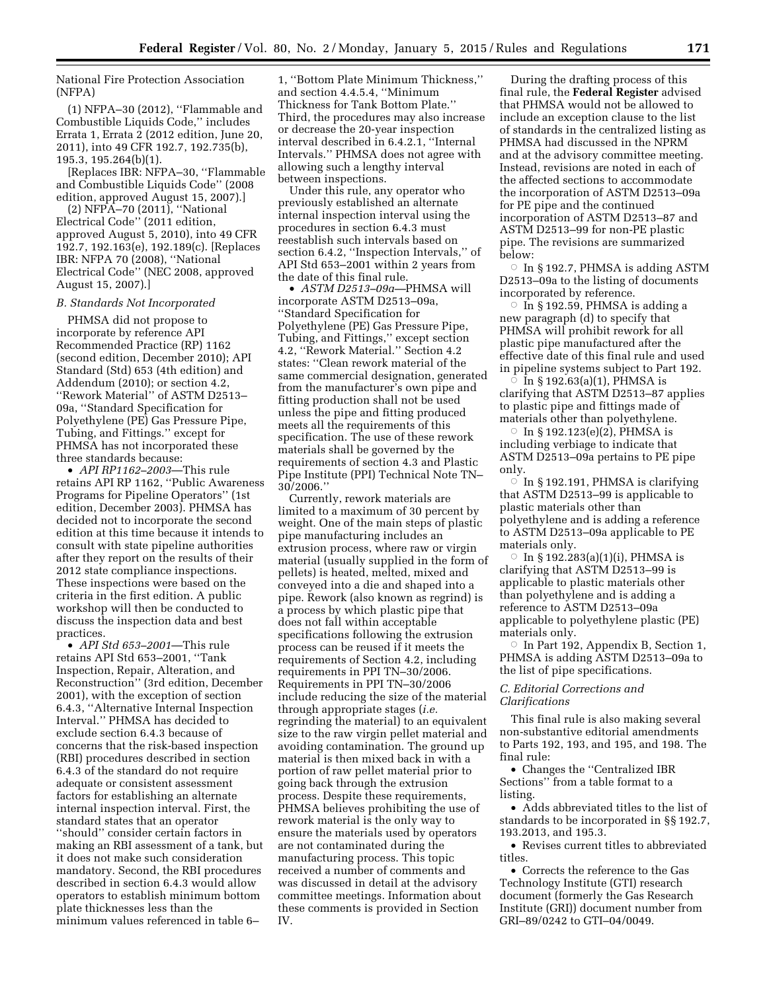National Fire Protection Association (NFPA)

(1) NFPA–30 (2012), ''Flammable and Combustible Liquids Code,'' includes Errata 1, Errata 2 (2012 edition, June 20, 2011), into 49 CFR 192.7, 192.735(b), 195.3, 195.264(b)(1).

[Replaces IBR: NFPA–30, ''Flammable and Combustible Liquids Code'' (2008 edition, approved August 15, 2007).]

(2) NFPA–70 (2011), ''National Electrical Code'' (2011 edition, approved August 5, 2010), into 49 CFR 192.7, 192.163(e), 192.189(c). [Replaces IBR: NFPA 70 (2008), ''National Electrical Code'' (NEC 2008, approved August 15, 2007).]

### *B. Standards Not Incorporated*

PHMSA did not propose to incorporate by reference API Recommended Practice (RP) 1162 (second edition, December 2010); API Standard (Std) 653 (4th edition) and Addendum (2010); or section 4.2, ''Rework Material'' of ASTM D2513– 09a, ''Standard Specification for Polyethylene (PE) Gas Pressure Pipe, Tubing, and Fittings.'' except for PHMSA has not incorporated these three standards because:

• *API RP1162–2003*—This rule retains API RP 1162, ''Public Awareness Programs for Pipeline Operators'' (1st edition, December 2003). PHMSA has decided not to incorporate the second edition at this time because it intends to consult with state pipeline authorities after they report on the results of their 2012 state compliance inspections. These inspections were based on the criteria in the first edition. A public workshop will then be conducted to discuss the inspection data and best practices.

• *API Std 653–2001*—This rule retains API Std 653–2001, ''Tank Inspection, Repair, Alteration, and Reconstruction'' (3rd edition, December 2001), with the exception of section 6.4.3, ''Alternative Internal Inspection Interval.'' PHMSA has decided to exclude section 6.4.3 because of concerns that the risk-based inspection (RBI) procedures described in section 6.4.3 of the standard do not require adequate or consistent assessment factors for establishing an alternate internal inspection interval. First, the standard states that an operator ''should'' consider certain factors in making an RBI assessment of a tank, but it does not make such consideration mandatory. Second, the RBI procedures described in section 6.4.3 would allow operators to establish minimum bottom plate thicknesses less than the minimum values referenced in table 6–

1, ''Bottom Plate Minimum Thickness,'' and section 4.4.5.4, ''Minimum Thickness for Tank Bottom Plate.'' Third, the procedures may also increase or decrease the 20-year inspection interval described in 6.4.2.1, ''Internal Intervals.'' PHMSA does not agree with allowing such a lengthy interval between inspections.

Under this rule, any operator who previously established an alternate internal inspection interval using the procedures in section 6.4.3 must reestablish such intervals based on section 6.4.2, ''Inspection Intervals,'' of API Std 653–2001 within 2 years from the date of this final rule.

• *ASTM D2513–09a—*PHMSA will incorporate ASTM D2513–09a, ''Standard Specification for Polyethylene (PE) Gas Pressure Pipe, Tubing, and Fittings,'' except section 4.2, ''Rework Material.'' Section 4.2 states: ''Clean rework material of the same commercial designation, generated from the manufacturer's own pipe and fitting production shall not be used unless the pipe and fitting produced meets all the requirements of this specification. The use of these rework materials shall be governed by the requirements of section 4.3 and Plastic Pipe Institute (PPI) Technical Note TN– 30/2006.''

Currently, rework materials are limited to a maximum of 30 percent by weight. One of the main steps of plastic pipe manufacturing includes an extrusion process, where raw or virgin material (usually supplied in the form of pellets) is heated, melted, mixed and conveyed into a die and shaped into a pipe. Rework (also known as regrind) is a process by which plastic pipe that does not fall within acceptable specifications following the extrusion process can be reused if it meets the requirements of Section 4.2, including requirements in PPI TN–30/2006. Requirements in PPI TN–30/2006 include reducing the size of the material through appropriate stages (*i.e.*  regrinding the material) to an equivalent size to the raw virgin pellet material and avoiding contamination. The ground up material is then mixed back in with a portion of raw pellet material prior to going back through the extrusion process. Despite these requirements, PHMSA believes prohibiting the use of rework material is the only way to ensure the materials used by operators are not contaminated during the manufacturing process. This topic received a number of comments and was discussed in detail at the advisory committee meetings. Information about these comments is provided in Section IV.

During the drafting process of this final rule, the **Federal Register** advised that PHMSA would not be allowed to include an exception clause to the list of standards in the centralized listing as PHMSA had discussed in the NPRM and at the advisory committee meeting. Instead, revisions are noted in each of the affected sections to accommodate the incorporation of ASTM D2513–09a for PE pipe and the continued incorporation of ASTM D2513–87 and ASTM D2513–99 for non-PE plastic pipe. The revisions are summarized below:

 $\circ$  In § 192.7, PHMSA is adding ASTM D2513–09a to the listing of documents incorporated by reference.

 $\circ$  In § 192.59, PHMSA is adding a new paragraph (d) to specify that PHMSA will prohibit rework for all plastic pipe manufactured after the effective date of this final rule and used in pipeline systems subject to Part 192.

 $\overline{\circ}$  In § 192.63(a)(1), PHMSA is clarifying that ASTM D2513–87 applies to plastic pipe and fittings made of materials other than polyethylene.

 $\circ$  In § 192.123(e)(2), PHMSA is including verbiage to indicate that ASTM D2513–09a pertains to PE pipe only.

 $\circ$  In § 192.191, PHMSA is clarifying that ASTM D2513–99 is applicable to plastic materials other than polyethylene and is adding a reference to ASTM D2513–09a applicable to PE materials only.

 $\circ$  In § 192.283(a)(1)(i), PHMSA is clarifying that ASTM D2513–99 is applicable to plastic materials other than polyethylene and is adding a reference to ASTM D2513–09a applicable to polyethylene plastic (PE) materials only.

 $\circ$  In Part 192, Appendix B, Section 1, PHMSA is adding ASTM D2513–09a to the list of pipe specifications.

# *C. Editorial Corrections and Clarifications*

This final rule is also making several non-substantive editorial amendments to Parts 192, 193, and 195, and 198. The final rule:

• Changes the ''Centralized IBR Sections'' from a table format to a listing.

• Adds abbreviated titles to the list of standards to be incorporated in §§ 192.7, 193.2013, and 195.3.

• Revises current titles to abbreviated titles.

• Corrects the reference to the Gas Technology Institute (GTI) research document (formerly the Gas Research Institute (GRI)) document number from GRI–89/0242 to GTI–04/0049.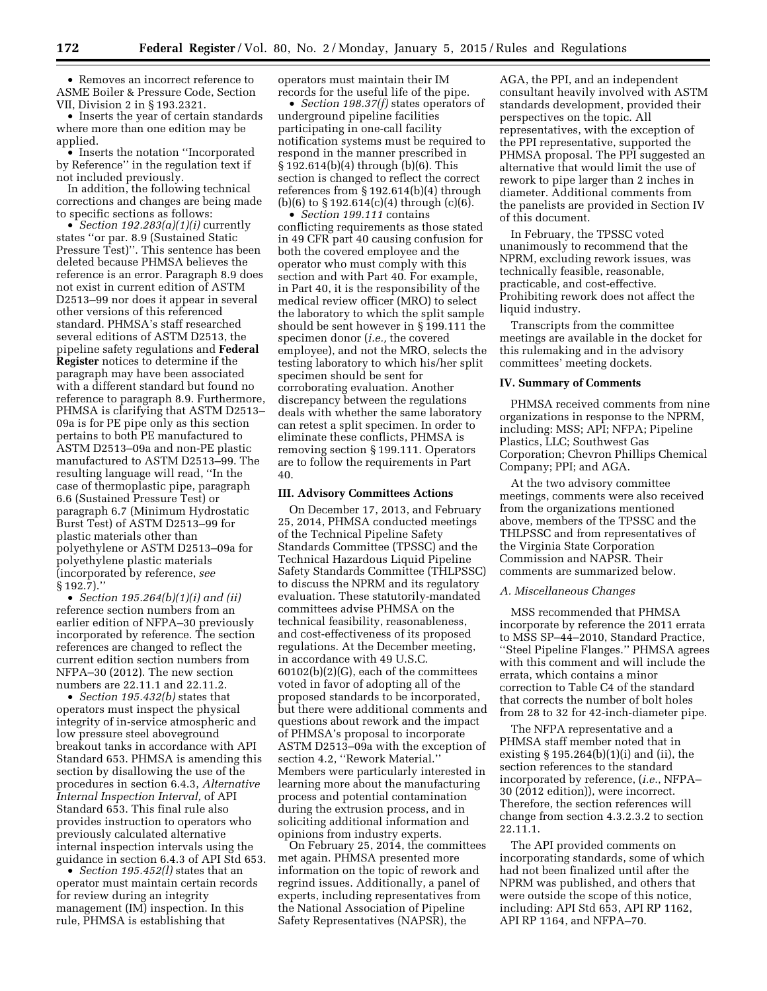• Removes an incorrect reference to ASME Boiler & Pressure Code, Section VII, Division 2 in § 193.2321.

• Inserts the year of certain standards where more than one edition may be applied.

• Inserts the notation ''Incorporated by Reference'' in the regulation text if not included previously.

In addition, the following technical corrections and changes are being made to specific sections as follows:

• *Section 192.283(a)(1)(i)* currently states ''or par. 8.9 (Sustained Static Pressure Test)''. This sentence has been deleted because PHMSA believes the reference is an error. Paragraph 8.9 does not exist in current edition of ASTM D2513–99 nor does it appear in several other versions of this referenced standard. PHMSA's staff researched several editions of ASTM D2513, the pipeline safety regulations and **Federal Register** notices to determine if the paragraph may have been associated with a different standard but found no reference to paragraph 8.9. Furthermore, PHMSA is clarifying that ASTM D2513– 09a is for PE pipe only as this section pertains to both PE manufactured to ASTM D2513–09a and non-PE plastic manufactured to ASTM D2513–99. The resulting language will read, ''In the case of thermoplastic pipe, paragraph 6.6 (Sustained Pressure Test) or paragraph 6.7 (Minimum Hydrostatic Burst Test) of ASTM D2513–99 for plastic materials other than polyethylene or ASTM D2513–09a for polyethylene plastic materials (incorporated by reference, *see*  § 192.7).''

• *Section 195.264(b)(1)(i) and (ii)*  reference section numbers from an earlier edition of NFPA–30 previously incorporated by reference. The section references are changed to reflect the current edition section numbers from NFPA–30 (2012). The new section numbers are 22.11.1 and 22.11.2.

• *Section 195.432(b)* states that operators must inspect the physical integrity of in-service atmospheric and low pressure steel aboveground breakout tanks in accordance with API Standard 653. PHMSA is amending this section by disallowing the use of the procedures in section 6.4.3, *Alternative Internal Inspection Interval,* of API Standard 653. This final rule also provides instruction to operators who previously calculated alternative internal inspection intervals using the guidance in section 6.4.3 of API Std 653.

• *Section 195.452(l)* states that an operator must maintain certain records for review during an integrity management (IM) inspection. In this rule, PHMSA is establishing that

operators must maintain their IM records for the useful life of the pipe.

• *Section 198.37(f)* states operators of underground pipeline facilities participating in one-call facility notification systems must be required to respond in the manner prescribed in § 192.614(b)(4) through (b)(6). This section is changed to reflect the correct references from § 192.614(b)(4) through  $(b)(6)$  to  $\S 192.614(c)(4)$  through  $(c)(6)$ .

• *Section 199.111* contains conflicting requirements as those stated in 49 CFR part 40 causing confusion for both the covered employee and the operator who must comply with this section and with Part 40. For example, in Part 40, it is the responsibility of the medical review officer (MRO) to select the laboratory to which the split sample should be sent however in § 199.111 the specimen donor (*i.e.,* the covered employee), and not the MRO, selects the testing laboratory to which his/her split specimen should be sent for corroborating evaluation. Another discrepancy between the regulations deals with whether the same laboratory can retest a split specimen. In order to eliminate these conflicts, PHMSA is removing section § 199.111. Operators are to follow the requirements in Part 40.

### **III. Advisory Committees Actions**

On December 17, 2013, and February 25, 2014, PHMSA conducted meetings of the Technical Pipeline Safety Standards Committee (TPSSC) and the Technical Hazardous Liquid Pipeline Safety Standards Committee (THLPSSC) to discuss the NPRM and its regulatory evaluation. These statutorily-mandated committees advise PHMSA on the technical feasibility, reasonableness, and cost-effectiveness of its proposed regulations. At the December meeting, in accordance with 49 U.S.C. 60102(b)(2)(G), each of the committees voted in favor of adopting all of the proposed standards to be incorporated, but there were additional comments and questions about rework and the impact of PHMSA's proposal to incorporate ASTM D2513–09a with the exception of section 4.2, "Rework Material." Members were particularly interested in learning more about the manufacturing process and potential contamination during the extrusion process, and in soliciting additional information and opinions from industry experts.

On February 25, 2014, the committees met again. PHMSA presented more information on the topic of rework and regrind issues. Additionally, a panel of experts, including representatives from the National Association of Pipeline Safety Representatives (NAPSR), the

AGA, the PPI, and an independent consultant heavily involved with ASTM standards development, provided their perspectives on the topic. All representatives, with the exception of the PPI representative, supported the PHMSA proposal. The PPI suggested an alternative that would limit the use of rework to pipe larger than 2 inches in diameter. Additional comments from the panelists are provided in Section IV of this document.

In February, the TPSSC voted unanimously to recommend that the NPRM, excluding rework issues, was technically feasible, reasonable, practicable, and cost-effective. Prohibiting rework does not affect the liquid industry.

Transcripts from the committee meetings are available in the docket for this rulemaking and in the advisory committees' meeting dockets.

### **IV. Summary of Comments**

PHMSA received comments from nine organizations in response to the NPRM, including: MSS; API; NFPA; Pipeline Plastics, LLC; Southwest Gas Corporation; Chevron Phillips Chemical Company; PPI; and AGA.

At the two advisory committee meetings, comments were also received from the organizations mentioned above, members of the TPSSC and the THLPSSC and from representatives of the Virginia State Corporation Commission and NAPSR. Their comments are summarized below.

### *A. Miscellaneous Changes*

MSS recommended that PHMSA incorporate by reference the 2011 errata to MSS SP–44–2010, Standard Practice, ''Steel Pipeline Flanges.'' PHMSA agrees with this comment and will include the errata, which contains a minor correction to Table C4 of the standard that corrects the number of bolt holes from 28 to 32 for 42-inch-diameter pipe.

The NFPA representative and a PHMSA staff member noted that in existing § 195.264(b)(1)(i) and (ii), the section references to the standard incorporated by reference, (*i.e.*, NFPA– 30 (2012 edition)), were incorrect. Therefore, the section references will change from section 4.3.2.3.2 to section 22.11.1.

The API provided comments on incorporating standards, some of which had not been finalized until after the NPRM was published, and others that were outside the scope of this notice, including: API Std 653, API RP 1162, API RP 1164, and NFPA–70.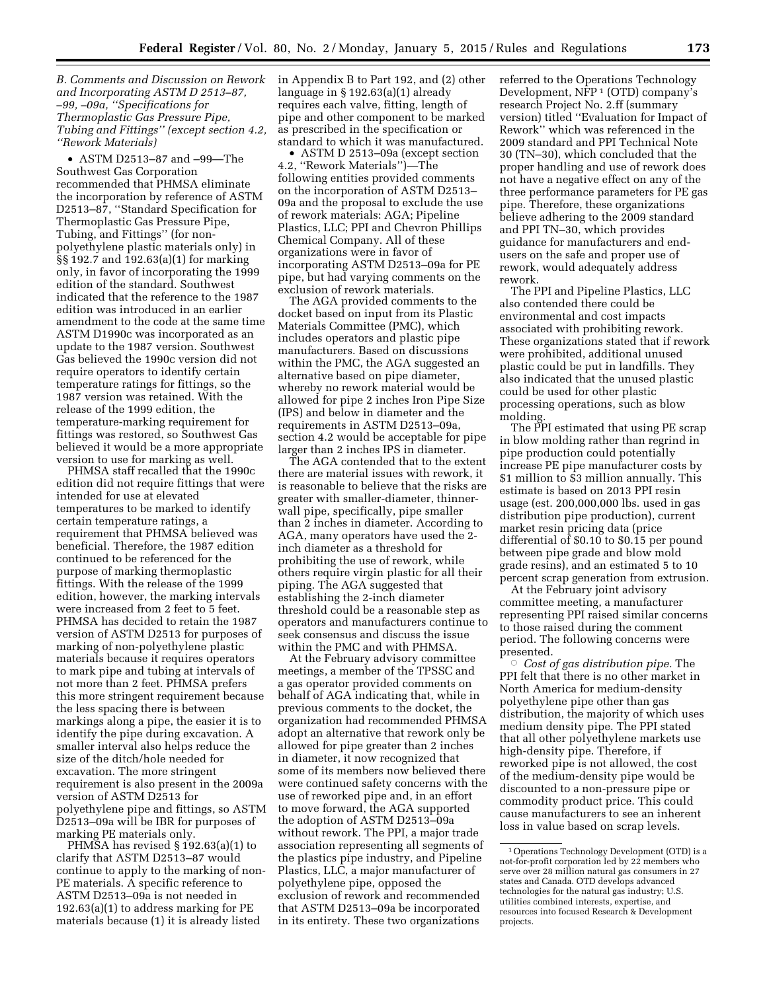*B. Comments and Discussion on Rework and Incorporating ASTM D 2513–87, –99, –09a, ''Specifications for Thermoplastic Gas Pressure Pipe, Tubing and Fittings'' (except section 4.2, ''Rework Materials)* 

• ASTM D2513–87 and –99—The Southwest Gas Corporation recommended that PHMSA eliminate the incorporation by reference of ASTM D2513–87, ''Standard Specification for Thermoplastic Gas Pressure Pipe, Tubing, and Fittings'' (for nonpolyethylene plastic materials only) in §§ 192.7 and 192.63(a)(1) for marking only, in favor of incorporating the 1999 edition of the standard. Southwest indicated that the reference to the 1987 edition was introduced in an earlier amendment to the code at the same time ASTM D1990c was incorporated as an update to the 1987 version. Southwest Gas believed the 1990c version did not require operators to identify certain temperature ratings for fittings, so the 1987 version was retained. With the release of the 1999 edition, the temperature-marking requirement for fittings was restored, so Southwest Gas believed it would be a more appropriate version to use for marking as well.

PHMSA staff recalled that the 1990c edition did not require fittings that were intended for use at elevated temperatures to be marked to identify certain temperature ratings, a requirement that PHMSA believed was beneficial. Therefore, the 1987 edition continued to be referenced for the purpose of marking thermoplastic fittings. With the release of the 1999 edition, however, the marking intervals were increased from 2 feet to 5 feet. PHMSA has decided to retain the 1987 version of ASTM D2513 for purposes of marking of non-polyethylene plastic materials because it requires operators to mark pipe and tubing at intervals of not more than 2 feet. PHMSA prefers this more stringent requirement because the less spacing there is between markings along a pipe, the easier it is to identify the pipe during excavation. A smaller interval also helps reduce the size of the ditch/hole needed for excavation. The more stringent requirement is also present in the 2009a version of ASTM D2513 for polyethylene pipe and fittings, so ASTM D2513–09a will be IBR for purposes of marking PE materials only.

PHMSA has revised § 192.63(a)(1) to clarify that ASTM D2513–87 would continue to apply to the marking of non-PE materials. A specific reference to ASTM D2513–09a is not needed in 192.63(a)(1) to address marking for PE materials because (1) it is already listed

in Appendix B to Part 192, and (2) other language in § 192.63(a)(1) already requires each valve, fitting, length of pipe and other component to be marked as prescribed in the specification or standard to which it was manufactured.

• ASTM D 2513–09a (except section 4.2, ''Rework Materials'')—The following entities provided comments on the incorporation of ASTM D2513– 09a and the proposal to exclude the use of rework materials: AGA; Pipeline Plastics, LLC; PPI and Chevron Phillips Chemical Company. All of these organizations were in favor of incorporating ASTM D2513–09a for PE pipe, but had varying comments on the exclusion of rework materials.

The AGA provided comments to the docket based on input from its Plastic Materials Committee (PMC), which includes operators and plastic pipe manufacturers. Based on discussions within the PMC, the AGA suggested an alternative based on pipe diameter, whereby no rework material would be allowed for pipe 2 inches Iron Pipe Size (IPS) and below in diameter and the requirements in ASTM D2513–09a, section 4.2 would be acceptable for pipe larger than 2 inches IPS in diameter.

The AGA contended that to the extent there are material issues with rework, it is reasonable to believe that the risks are greater with smaller-diameter, thinnerwall pipe, specifically, pipe smaller than 2 inches in diameter. According to AGA, many operators have used the 2 inch diameter as a threshold for prohibiting the use of rework, while others require virgin plastic for all their piping. The AGA suggested that establishing the 2-inch diameter threshold could be a reasonable step as operators and manufacturers continue to seek consensus and discuss the issue within the PMC and with PHMSA.

At the February advisory committee meetings, a member of the TPSSC and a gas operator provided comments on behalf of AGA indicating that, while in previous comments to the docket, the organization had recommended PHMSA adopt an alternative that rework only be allowed for pipe greater than 2 inches in diameter, it now recognized that some of its members now believed there were continued safety concerns with the use of reworked pipe and, in an effort to move forward, the AGA supported the adoption of ASTM D2513–09a without rework. The PPI, a major trade association representing all segments of the plastics pipe industry, and Pipeline Plastics, LLC, a major manufacturer of polyethylene pipe, opposed the exclusion of rework and recommended that ASTM D2513–09a be incorporated in its entirety. These two organizations

referred to the Operations Technology Development, NFP 1 (OTD) company's research Project No. 2.ff (summary version) titled ''Evaluation for Impact of Rework'' which was referenced in the 2009 standard and PPI Technical Note 30 (TN–30), which concluded that the proper handling and use of rework does not have a negative effect on any of the three performance parameters for PE gas pipe. Therefore, these organizations believe adhering to the 2009 standard and PPI TN–30, which provides guidance for manufacturers and endusers on the safe and proper use of rework, would adequately address rework.

The PPI and Pipeline Plastics, LLC also contended there could be environmental and cost impacts associated with prohibiting rework. These organizations stated that if rework were prohibited, additional unused plastic could be put in landfills. They also indicated that the unused plastic could be used for other plastic processing operations, such as blow molding.

The PPI estimated that using PE scrap in blow molding rather than regrind in pipe production could potentially increase PE pipe manufacturer costs by \$1 million to \$3 million annually. This estimate is based on 2013 PPI resin usage (est. 200,000,000 lbs. used in gas distribution pipe production), current market resin pricing data (price differential of \$0.10 to \$0.15 per pound between pipe grade and blow mold grade resins), and an estimated 5 to 10 percent scrap generation from extrusion.

At the February joint advisory committee meeting, a manufacturer representing PPI raised similar concerns to those raised during the comment period. The following concerns were presented.

Æ *Cost of gas distribution pipe.* The PPI felt that there is no other market in North America for medium-density polyethylene pipe other than gas distribution, the majority of which uses medium density pipe. The PPI stated that all other polyethylene markets use high-density pipe. Therefore, if reworked pipe is not allowed, the cost of the medium-density pipe would be discounted to a non-pressure pipe or commodity product price. This could cause manufacturers to see an inherent loss in value based on scrap levels.

<sup>1</sup>Operations Technology Development (OTD) is a not-for-profit corporation led by 22 members who serve over 28 million natural gas consumers in 27 states and Canada. OTD develops advanced technologies for the natural gas industry; U.S. utilities combined interests, expertise, and resources into focused Research & Development projects.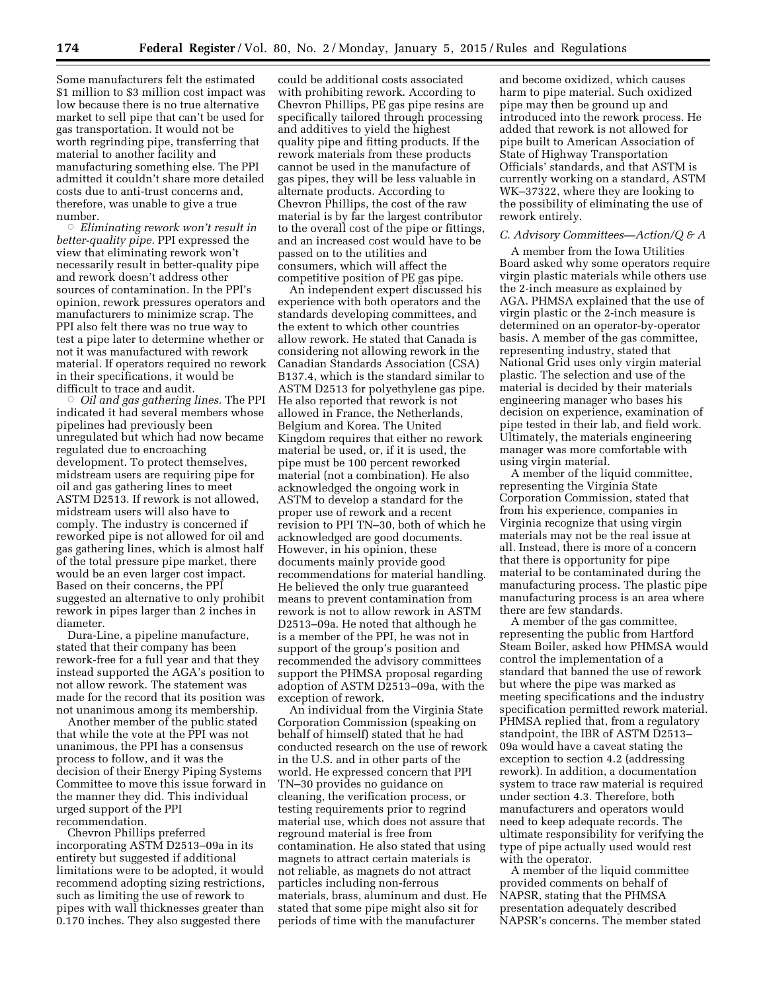Some manufacturers felt the estimated \$1 million to \$3 million cost impact was low because there is no true alternative market to sell pipe that can't be used for gas transportation. It would not be worth regrinding pipe, transferring that material to another facility and manufacturing something else. The PPI admitted it couldn't share more detailed costs due to anti-trust concerns and, therefore, was unable to give a true number.

Æ *Eliminating rework won't result in better-quality pipe.* PPI expressed the view that eliminating rework won't necessarily result in better-quality pipe and rework doesn't address other sources of contamination. In the PPI's opinion, rework pressures operators and manufacturers to minimize scrap. The PPI also felt there was no true way to test a pipe later to determine whether or not it was manufactured with rework material. If operators required no rework in their specifications, it would be difficult to trace and audit.

Æ *Oil and gas gathering lines.* The PPI indicated it had several members whose pipelines had previously been unregulated but which had now became regulated due to encroaching development. To protect themselves, midstream users are requiring pipe for oil and gas gathering lines to meet ASTM D2513. If rework is not allowed, midstream users will also have to comply. The industry is concerned if reworked pipe is not allowed for oil and gas gathering lines, which is almost half of the total pressure pipe market, there would be an even larger cost impact. Based on their concerns, the PPI suggested an alternative to only prohibit rework in pipes larger than 2 inches in diameter.

Dura-Line, a pipeline manufacture, stated that their company has been rework-free for a full year and that they instead supported the AGA's position to not allow rework. The statement was made for the record that its position was not unanimous among its membership.

Another member of the public stated that while the vote at the PPI was not unanimous, the PPI has a consensus process to follow, and it was the decision of their Energy Piping Systems Committee to move this issue forward in the manner they did. This individual urged support of the PPI recommendation.

Chevron Phillips preferred incorporating ASTM D2513–09a in its entirety but suggested if additional limitations were to be adopted, it would recommend adopting sizing restrictions, such as limiting the use of rework to pipes with wall thicknesses greater than 0.170 inches. They also suggested there

could be additional costs associated with prohibiting rework. According to Chevron Phillips, PE gas pipe resins are specifically tailored through processing and additives to yield the highest quality pipe and fitting products. If the rework materials from these products cannot be used in the manufacture of gas pipes, they will be less valuable in alternate products. According to Chevron Phillips, the cost of the raw material is by far the largest contributor to the overall cost of the pipe or fittings, and an increased cost would have to be passed on to the utilities and consumers, which will affect the competitive position of PE gas pipe.

An independent expert discussed his experience with both operators and the standards developing committees, and the extent to which other countries allow rework. He stated that Canada is considering not allowing rework in the Canadian Standards Association (CSA) B137.4, which is the standard similar to ASTM D2513 for polyethylene gas pipe. He also reported that rework is not allowed in France, the Netherlands, Belgium and Korea. The United Kingdom requires that either no rework material be used, or, if it is used, the pipe must be 100 percent reworked material (not a combination). He also acknowledged the ongoing work in ASTM to develop a standard for the proper use of rework and a recent revision to PPI TN–30, both of which he acknowledged are good documents. However, in his opinion, these documents mainly provide good recommendations for material handling. He believed the only true guaranteed means to prevent contamination from rework is not to allow rework in ASTM D2513–09a. He noted that although he is a member of the PPI, he was not in support of the group's position and recommended the advisory committees support the PHMSA proposal regarding adoption of ASTM D2513–09a, with the exception of rework.

An individual from the Virginia State Corporation Commission (speaking on behalf of himself) stated that he had conducted research on the use of rework in the U.S. and in other parts of the world. He expressed concern that PPI TN–30 provides no guidance on cleaning, the verification process, or testing requirements prior to regrind material use, which does not assure that reground material is free from contamination. He also stated that using magnets to attract certain materials is not reliable, as magnets do not attract particles including non-ferrous materials, brass, aluminum and dust. He stated that some pipe might also sit for periods of time with the manufacturer

and become oxidized, which causes harm to pipe material. Such oxidized pipe may then be ground up and introduced into the rework process. He added that rework is not allowed for pipe built to American Association of State of Highway Transportation Officials' standards, and that ASTM is currently working on a standard, ASTM WK–37322, where they are looking to the possibility of eliminating the use of rework entirely.

## *C. Advisory Committees—Action/Q & A*

A member from the Iowa Utilities Board asked why some operators require virgin plastic materials while others use the 2-inch measure as explained by AGA. PHMSA explained that the use of virgin plastic or the 2-inch measure is determined on an operator-by-operator basis. A member of the gas committee, representing industry, stated that National Grid uses only virgin material plastic. The selection and use of the material is decided by their materials engineering manager who bases his decision on experience, examination of pipe tested in their lab, and field work. Ultimately, the materials engineering manager was more comfortable with using virgin material.

A member of the liquid committee, representing the Virginia State Corporation Commission, stated that from his experience, companies in Virginia recognize that using virgin materials may not be the real issue at all. Instead, there is more of a concern that there is opportunity for pipe material to be contaminated during the manufacturing process. The plastic pipe manufacturing process is an area where there are few standards.

A member of the gas committee, representing the public from Hartford Steam Boiler, asked how PHMSA would control the implementation of a standard that banned the use of rework but where the pipe was marked as meeting specifications and the industry specification permitted rework material. PHMSA replied that, from a regulatory standpoint, the IBR of ASTM D2513– 09a would have a caveat stating the exception to section 4.2 (addressing rework). In addition, a documentation system to trace raw material is required under section 4.3. Therefore, both manufacturers and operators would need to keep adequate records. The ultimate responsibility for verifying the type of pipe actually used would rest with the operator.

A member of the liquid committee provided comments on behalf of NAPSR, stating that the PHMSA presentation adequately described NAPSR's concerns. The member stated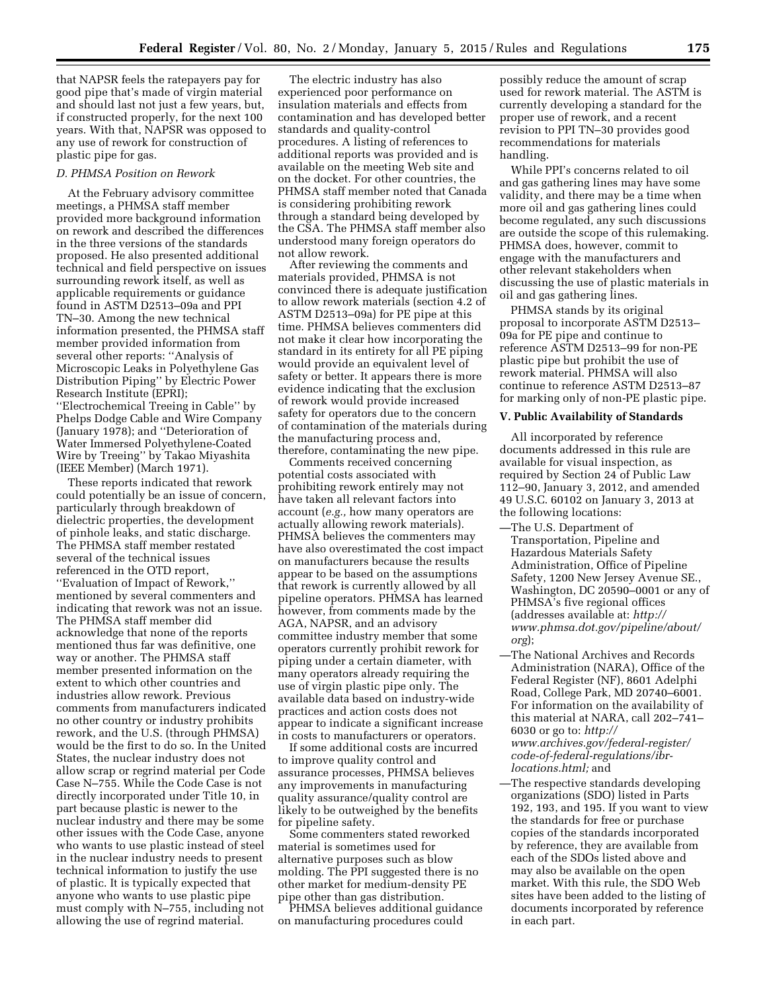that NAPSR feels the ratepayers pay for good pipe that's made of virgin material and should last not just a few years, but, if constructed properly, for the next 100 years. With that, NAPSR was opposed to any use of rework for construction of plastic pipe for gas.

## *D. PHMSA Position on Rework*

At the February advisory committee meetings, a PHMSA staff member provided more background information on rework and described the differences in the three versions of the standards proposed. He also presented additional technical and field perspective on issues surrounding rework itself, as well as applicable requirements or guidance found in ASTM D2513–09a and PPI TN–30. Among the new technical information presented, the PHMSA staff member provided information from several other reports: ''Analysis of Microscopic Leaks in Polyethylene Gas Distribution Piping'' by Electric Power Research Institute (EPRI); ''Electrochemical Treeing in Cable'' by Phelps Dodge Cable and Wire Company (January 1978); and ''Deterioration of Water Immersed Polyethylene-Coated Wire by Treeing'' by Takao Miyashita (IEEE Member) (March 1971).

These reports indicated that rework could potentially be an issue of concern, particularly through breakdown of dielectric properties, the development of pinhole leaks, and static discharge. The PHMSA staff member restated several of the technical issues referenced in the OTD report, ''Evaluation of Impact of Rework,'' mentioned by several commenters and indicating that rework was not an issue. The PHMSA staff member did acknowledge that none of the reports mentioned thus far was definitive, one way or another. The PHMSA staff member presented information on the extent to which other countries and industries allow rework. Previous comments from manufacturers indicated no other country or industry prohibits rework, and the U.S. (through PHMSA) would be the first to do so. In the United States, the nuclear industry does not allow scrap or regrind material per Code Case N–755. While the Code Case is not directly incorporated under Title 10, in part because plastic is newer to the nuclear industry and there may be some other issues with the Code Case, anyone who wants to use plastic instead of steel in the nuclear industry needs to present technical information to justify the use of plastic. It is typically expected that anyone who wants to use plastic pipe must comply with N–755, including not allowing the use of regrind material.

The electric industry has also experienced poor performance on insulation materials and effects from contamination and has developed better standards and quality-control procedures. A listing of references to additional reports was provided and is available on the meeting Web site and on the docket. For other countries, the PHMSA staff member noted that Canada is considering prohibiting rework through a standard being developed by the CSA. The PHMSA staff member also understood many foreign operators do not allow rework.

After reviewing the comments and materials provided, PHMSA is not convinced there is adequate justification to allow rework materials (section 4.2 of ASTM D2513–09a) for PE pipe at this time. PHMSA believes commenters did not make it clear how incorporating the standard in its entirety for all PE piping would provide an equivalent level of safety or better. It appears there is more evidence indicating that the exclusion of rework would provide increased safety for operators due to the concern of contamination of the materials during the manufacturing process and, therefore, contaminating the new pipe.

Comments received concerning potential costs associated with prohibiting rework entirely may not have taken all relevant factors into account (*e.g.,* how many operators are actually allowing rework materials). PHMSA believes the commenters may have also overestimated the cost impact on manufacturers because the results appear to be based on the assumptions that rework is currently allowed by all pipeline operators. PHMSA has learned however, from comments made by the AGA, NAPSR, and an advisory committee industry member that some operators currently prohibit rework for piping under a certain diameter, with many operators already requiring the use of virgin plastic pipe only. The available data based on industry-wide practices and action costs does not appear to indicate a significant increase in costs to manufacturers or operators.

If some additional costs are incurred to improve quality control and assurance processes, PHMSA believes any improvements in manufacturing quality assurance/quality control are likely to be outweighed by the benefits for pipeline safety.

Some commenters stated reworked material is sometimes used for alternative purposes such as blow molding. The PPI suggested there is no other market for medium-density PE pipe other than gas distribution.

PHMSA believes additional guidance on manufacturing procedures could

possibly reduce the amount of scrap used for rework material. The ASTM is currently developing a standard for the proper use of rework, and a recent revision to PPI TN–30 provides good recommendations for materials handling.

While PPI's concerns related to oil and gas gathering lines may have some validity, and there may be a time when more oil and gas gathering lines could become regulated, any such discussions are outside the scope of this rulemaking. PHMSA does, however, commit to engage with the manufacturers and other relevant stakeholders when discussing the use of plastic materials in oil and gas gathering lines.

PHMSA stands by its original proposal to incorporate ASTM D2513– 09a for PE pipe and continue to reference ASTM D2513–99 for non-PE plastic pipe but prohibit the use of rework material. PHMSA will also continue to reference ASTM D2513–87 for marking only of non-PE plastic pipe.

# **V. Public Availability of Standards**

All incorporated by reference documents addressed in this rule are available for visual inspection, as required by Section 24 of Public Law 112–90, January 3, 2012, and amended 49 U.S.C. 60102 on January 3, 2013 at the following locations:

- —The U.S. Department of Transportation, Pipeline and Hazardous Materials Safety Administration, Office of Pipeline Safety, 1200 New Jersey Avenue SE., Washington, DC 20590–0001 or any of PHMSA's five regional offices (addresses available at: *[http://](http://www.phmsa.dot.gov/pipeline/about/org) [www.phmsa.dot.gov/pipeline/about/](http://www.phmsa.dot.gov/pipeline/about/org) [org](http://www.phmsa.dot.gov/pipeline/about/org)*);
- —The National Archives and Records Administration (NARA), Office of the Federal Register (NF), 8601 Adelphi Road, College Park, MD 20740–6001. For information on the availability of this material at NARA, call 202–741– 6030 or go to: *[http://](http://www.archives.gov/federal-register/code-of-federal-regulations/ibr-locations.html) [www.archives.gov/federal-register/](http://www.archives.gov/federal-register/code-of-federal-regulations/ibr-locations.html) [code-of-federal-regulations/ibr](http://www.archives.gov/federal-register/code-of-federal-regulations/ibr-locations.html)[locations.html;](http://www.archives.gov/federal-register/code-of-federal-regulations/ibr-locations.html)* and
- —The respective standards developing organizations (SDO) listed in Parts 192, 193, and 195. If you want to view the standards for free or purchase copies of the standards incorporated by reference, they are available from each of the SDOs listed above and may also be available on the open market. With this rule, the SDO Web sites have been added to the listing of documents incorporated by reference in each part.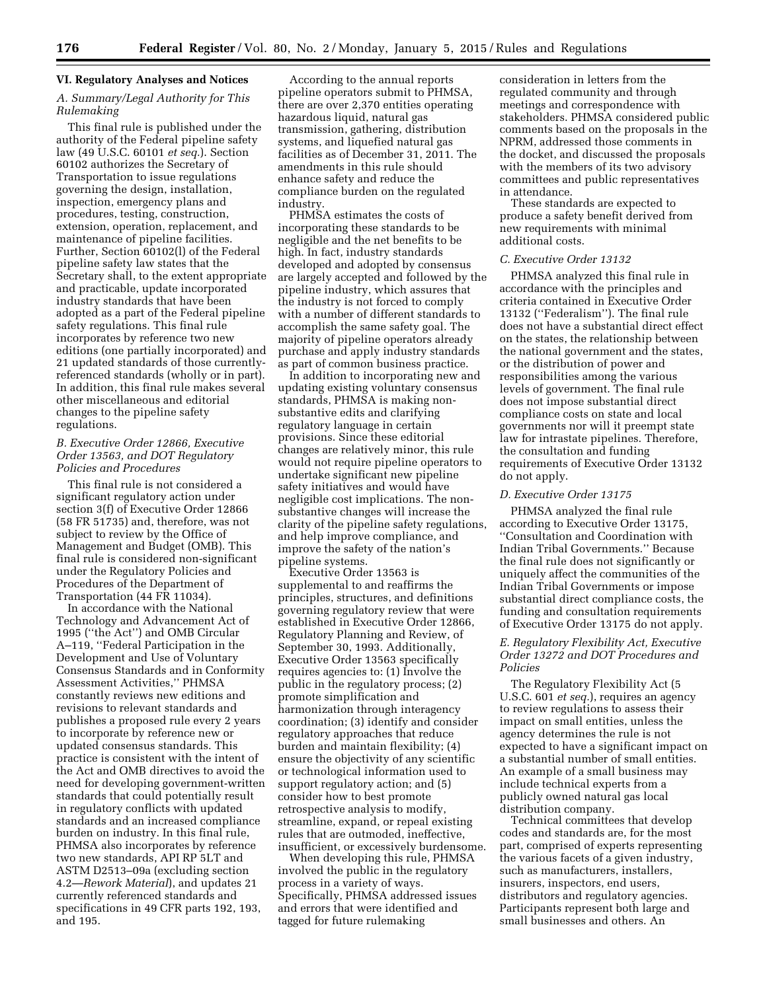### **VI. Regulatory Analyses and Notices**

# *A. Summary/Legal Authority for This Rulemaking*

This final rule is published under the authority of the Federal pipeline safety law (49 U.S.C. 60101 *et seq.*). Section 60102 authorizes the Secretary of Transportation to issue regulations governing the design, installation, inspection, emergency plans and procedures, testing, construction, extension, operation, replacement, and maintenance of pipeline facilities. Further, Section 60102(l) of the Federal pipeline safety law states that the Secretary shall, to the extent appropriate and practicable, update incorporated industry standards that have been adopted as a part of the Federal pipeline safety regulations. This final rule incorporates by reference two new editions (one partially incorporated) and 21 updated standards of those currentlyreferenced standards (wholly or in part). In addition, this final rule makes several other miscellaneous and editorial changes to the pipeline safety regulations.

# *B. Executive Order 12866, Executive Order 13563, and DOT Regulatory Policies and Procedures*

This final rule is not considered a significant regulatory action under section 3(f) of Executive Order 12866 (58 FR 51735) and, therefore, was not subject to review by the Office of Management and Budget (OMB). This final rule is considered non-significant under the Regulatory Policies and Procedures of the Department of Transportation (44 FR 11034).

In accordance with the National Technology and Advancement Act of 1995 (''the Act'') and OMB Circular A–119, ''Federal Participation in the Development and Use of Voluntary Consensus Standards and in Conformity Assessment Activities,'' PHMSA constantly reviews new editions and revisions to relevant standards and publishes a proposed rule every 2 years to incorporate by reference new or updated consensus standards. This practice is consistent with the intent of the Act and OMB directives to avoid the need for developing government-written standards that could potentially result in regulatory conflicts with updated standards and an increased compliance burden on industry. In this final rule, PHMSA also incorporates by reference two new standards, API RP 5LT and ASTM D2513–09a (excluding section 4.2—*Rework Material*), and updates 21 currently referenced standards and specifications in 49 CFR parts 192, 193, and 195.

According to the annual reports pipeline operators submit to PHMSA, there are over 2,370 entities operating hazardous liquid, natural gas transmission, gathering, distribution systems, and liquefied natural gas facilities as of December 31, 2011. The amendments in this rule should enhance safety and reduce the compliance burden on the regulated industry.

PHMSA estimates the costs of incorporating these standards to be negligible and the net benefits to be high. In fact, industry standards developed and adopted by consensus are largely accepted and followed by the pipeline industry, which assures that the industry is not forced to comply with a number of different standards to accomplish the same safety goal. The majority of pipeline operators already purchase and apply industry standards as part of common business practice.

In addition to incorporating new and updating existing voluntary consensus standards, PHMSA is making nonsubstantive edits and clarifying regulatory language in certain provisions. Since these editorial changes are relatively minor, this rule would not require pipeline operators to undertake significant new pipeline safety initiatives and would have negligible cost implications. The nonsubstantive changes will increase the clarity of the pipeline safety regulations, and help improve compliance, and improve the safety of the nation's pipeline systems.

Executive Order 13563 is supplemental to and reaffirms the principles, structures, and definitions governing regulatory review that were established in Executive Order 12866, Regulatory Planning and Review, of September 30, 1993. Additionally, Executive Order 13563 specifically requires agencies to: (1) Involve the public in the regulatory process; (2) promote simplification and harmonization through interagency coordination; (3) identify and consider regulatory approaches that reduce burden and maintain flexibility; (4) ensure the objectivity of any scientific or technological information used to support regulatory action; and (5) consider how to best promote retrospective analysis to modify, streamline, expand, or repeal existing rules that are outmoded, ineffective, insufficient, or excessively burdensome.

When developing this rule, PHMSA involved the public in the regulatory process in a variety of ways. Specifically, PHMSA addressed issues and errors that were identified and tagged for future rulemaking

consideration in letters from the regulated community and through meetings and correspondence with stakeholders. PHMSA considered public comments based on the proposals in the NPRM, addressed those comments in the docket, and discussed the proposals with the members of its two advisory committees and public representatives in attendance.

These standards are expected to produce a safety benefit derived from new requirements with minimal additional costs.

### *C. Executive Order 13132*

PHMSA analyzed this final rule in accordance with the principles and criteria contained in Executive Order 13132 (''Federalism''). The final rule does not have a substantial direct effect on the states, the relationship between the national government and the states, or the distribution of power and responsibilities among the various levels of government. The final rule does not impose substantial direct compliance costs on state and local governments nor will it preempt state law for intrastate pipelines. Therefore, the consultation and funding requirements of Executive Order 13132 do not apply.

#### *D. Executive Order 13175*

PHMSA analyzed the final rule according to Executive Order 13175, ''Consultation and Coordination with Indian Tribal Governments.'' Because the final rule does not significantly or uniquely affect the communities of the Indian Tribal Governments or impose substantial direct compliance costs, the funding and consultation requirements of Executive Order 13175 do not apply.

## *E. Regulatory Flexibility Act, Executive Order 13272 and DOT Procedures and Policies*

The Regulatory Flexibility Act (5 U.S.C. 601 *et seq.*), requires an agency to review regulations to assess their impact on small entities, unless the agency determines the rule is not expected to have a significant impact on a substantial number of small entities. An example of a small business may include technical experts from a publicly owned natural gas local distribution company.

Technical committees that develop codes and standards are, for the most part, comprised of experts representing the various facets of a given industry, such as manufacturers, installers, insurers, inspectors, end users, distributors and regulatory agencies. Participants represent both large and small businesses and others. An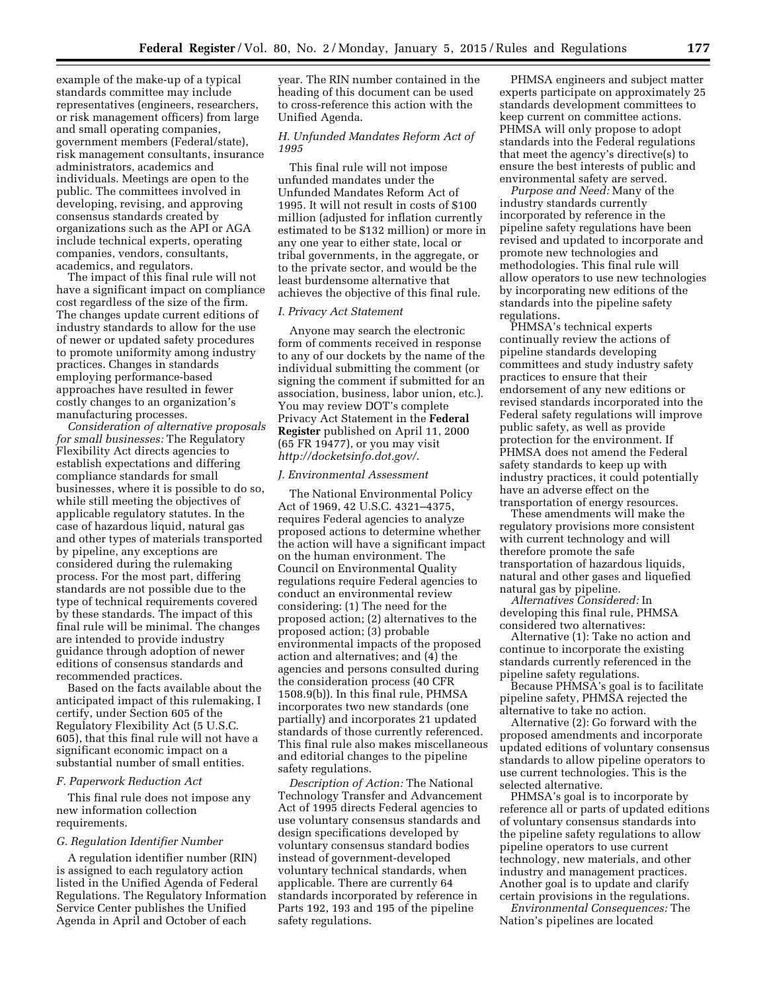example of the make-up of a typical standards committee may include representatives (engineers, researchers, or risk management officers) from large and small operating companies, government members (Federal/state), risk management consultants, insurance administrators, academics and individuals. Meetings are open to the public. The committees involved in developing, revising, and approving consensus standards created by organizations such as the API or AGA include technical experts, operating companies, vendors, consultants, academics, and regulators.

The impact of this final rule will not have a significant impact on compliance cost regardless of the size of the firm. The changes update current editions of industry standards to allow for the use of newer or updated safety procedures to promote uniformity among industry practices. Changes in standards employing performance-based approaches have resulted in fewer costly changes to an organization's manufacturing processes.

*Consideration of alternative proposals for small businesses:* The Regulatory Flexibility Act directs agencies to establish expectations and differing compliance standards for small businesses, where it is possible to do so, while still meeting the objectives of applicable regulatory statutes. In the case of hazardous liquid, natural gas and other types of materials transported by pipeline, any exceptions are considered during the rulemaking process. For the most part, differing standards are not possible due to the type of technical requirements covered by these standards. The impact of this final rule will be minimal. The changes are intended to provide industry guidance through adoption of newer editions of consensus standards and recommended practices.

Based on the facts available about the anticipated impact of this rulemaking, I certify, under Section 605 of the Regulatory Flexibility Act (5 U.S.C. 605), that this final rule will not have a significant economic impact on a substantial number of small entities.

# *F. Paperwork Reduction Act*

This final rule does not impose any new information collection requirements.

#### *G. Regulation Identifier Number*

A regulation identifier number (RIN) is assigned to each regulatory action listed in the Unified Agenda of Federal Regulations. The Regulatory Information Service Center publishes the Unified Agenda in April and October of each

year. The RIN number contained in the heading of this document can be used to cross-reference this action with the Unified Agenda.

# *H. Unfunded Mandates Reform Act of 1995*

This final rule will not impose unfunded mandates under the Unfunded Mandates Reform Act of 1995. It will not result in costs of \$100 million (adjusted for inflation currently estimated to be \$132 million) or more in any one year to either state, local or tribal governments, in the aggregate, or to the private sector, and would be the least burdensome alternative that achieves the objective of this final rule.

# *I. Privacy Act Statement*

Anyone may search the electronic form of comments received in response to any of our dockets by the name of the individual submitting the comment (or signing the comment if submitted for an association, business, labor union, etc.). You may review DOT's complete Privacy Act Statement in the **Federal Register** published on April 11, 2000 (65 FR 19477), or you may visit *<http://docketsinfo.dot.gov/>*.

## *J. Environmental Assessment*

The National Environmental Policy Act of 1969, 42 U.S.C. 4321–4375, requires Federal agencies to analyze proposed actions to determine whether the action will have a significant impact on the human environment. The Council on Environmental Quality regulations require Federal agencies to conduct an environmental review considering: (1) The need for the proposed action; (2) alternatives to the proposed action; (3) probable environmental impacts of the proposed action and alternatives; and (4) the agencies and persons consulted during the consideration process (40 CFR 1508.9(b)). In this final rule, PHMSA incorporates two new standards (one partially) and incorporates 21 updated standards of those currently referenced. This final rule also makes miscellaneous and editorial changes to the pipeline safety regulations.

*Description of Action:* The National Technology Transfer and Advancement Act of 1995 directs Federal agencies to use voluntary consensus standards and design specifications developed by voluntary consensus standard bodies instead of government-developed voluntary technical standards, when applicable. There are currently 64 standards incorporated by reference in Parts 192, 193 and 195 of the pipeline safety regulations.

PHMSA engineers and subject matter experts participate on approximately 25 standards development committees to keep current on committee actions. PHMSA will only propose to adopt standards into the Federal regulations that meet the agency's directive(s) to ensure the best interests of public and environmental safety are served.

*Purpose and Need:* Many of the industry standards currently incorporated by reference in the pipeline safety regulations have been revised and updated to incorporate and promote new technologies and methodologies. This final rule will allow operators to use new technologies by incorporating new editions of the standards into the pipeline safety regulations.

PHMSA's technical experts continually review the actions of pipeline standards developing committees and study industry safety practices to ensure that their endorsement of any new editions or revised standards incorporated into the Federal safety regulations will improve public safety, as well as provide protection for the environment. If PHMSA does not amend the Federal safety standards to keep up with industry practices, it could potentially have an adverse effect on the transportation of energy resources.

These amendments will make the regulatory provisions more consistent with current technology and will therefore promote the safe transportation of hazardous liquids, natural and other gases and liquefied natural gas by pipeline.

*Alternatives Considered:* In developing this final rule, PHMSA considered two alternatives:

Alternative (1): Take no action and continue to incorporate the existing standards currently referenced in the pipeline safety regulations.

Because PHMSA's goal is to facilitate pipeline safety, PHMSA rejected the alternative to take no action.

Alternative (2): Go forward with the proposed amendments and incorporate updated editions of voluntary consensus standards to allow pipeline operators to use current technologies. This is the selected alternative.

PHMSA's goal is to incorporate by reference all or parts of updated editions of voluntary consensus standards into the pipeline safety regulations to allow pipeline operators to use current technology, new materials, and other industry and management practices. Another goal is to update and clarify certain provisions in the regulations.

*Environmental Consequences:* The Nation's pipelines are located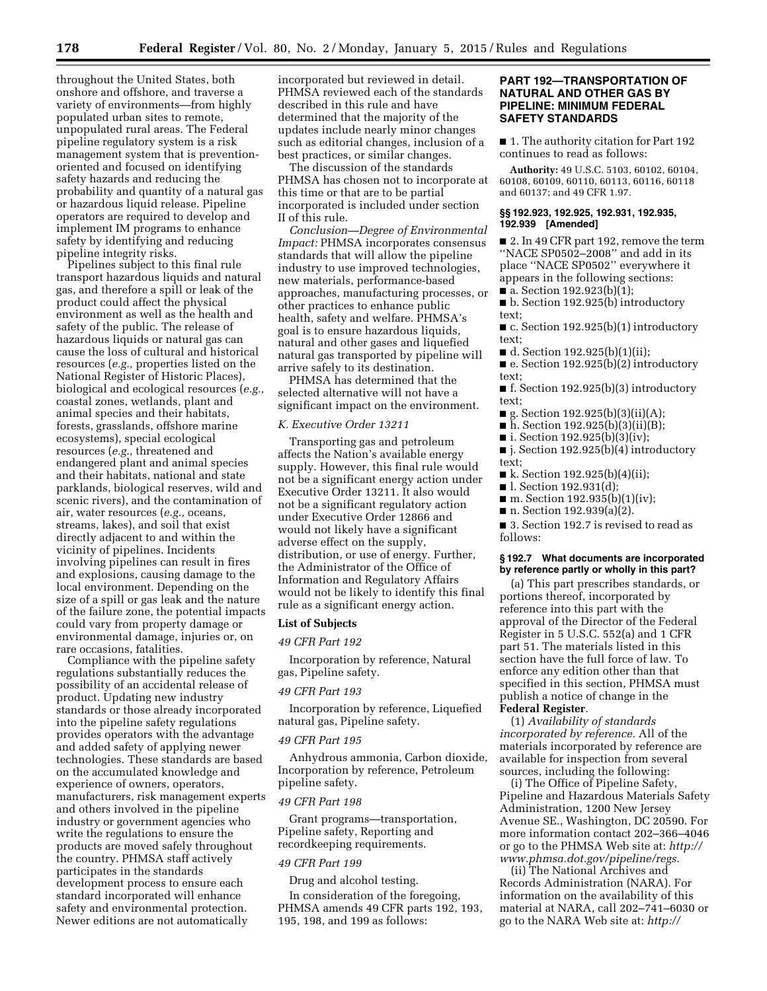throughout the United States, both onshore and offshore, and traverse a variety of environments—from highly populated urban sites to remote, unpopulated rural areas. The Federal pipeline regulatory system is a risk management system that is preventionoriented and focused on identifying safety hazards and reducing the probability and quantity of a natural gas or hazardous liquid release. Pipeline operators are required to develop and implement IM programs to enhance safety by identifying and reducing pipeline integrity risks.

Pipelines subject to this final rule transport hazardous liquids and natural gas, and therefore a spill or leak of the product could affect the physical environment as well as the health and safety of the public. The release of hazardous liquids or natural gas can cause the loss of cultural and historical resources (*e.g.,* properties listed on the National Register of Historic Places), biological and ecological resources (*e.g.,*  coastal zones, wetlands, plant and animal species and their habitats, forests, grasslands, offshore marine ecosystems), special ecological resources (*e.g.,* threatened and endangered plant and animal species and their habitats, national and state parklands, biological reserves, wild and scenic rivers), and the contamination of air, water resources (*e.g.,* oceans, streams, lakes), and soil that exist directly adjacent to and within the vicinity of pipelines. Incidents involving pipelines can result in fires and explosions, causing damage to the local environment. Depending on the size of a spill or gas leak and the nature of the failure zone, the potential impacts could vary from property damage or environmental damage, injuries or, on rare occasions, fatalities.

Compliance with the pipeline safety regulations substantially reduces the possibility of an accidental release of product. Updating new industry standards or those already incorporated into the pipeline safety regulations provides operators with the advantage and added safety of applying newer technologies. These standards are based on the accumulated knowledge and experience of owners, operators, manufacturers, risk management experts and others involved in the pipeline industry or government agencies who write the regulations to ensure the products are moved safely throughout the country. PHMSA staff actively participates in the standards development process to ensure each standard incorporated will enhance safety and environmental protection. Newer editions are not automatically

incorporated but reviewed in detail. PHMSA reviewed each of the standards described in this rule and have determined that the majority of the updates include nearly minor changes such as editorial changes, inclusion of a best practices, or similar changes.

The discussion of the standards PHMSA has chosen not to incorporate at this time or that are to be partial incorporated is included under section II of this rule.

*Conclusion—Degree of Environmental Impact:* PHMSA incorporates consensus standards that will allow the pipeline industry to use improved technologies, new materials, performance-based approaches, manufacturing processes, or other practices to enhance public health, safety and welfare. PHMSA's goal is to ensure hazardous liquids, natural and other gases and liquefied natural gas transported by pipeline will arrive safely to its destination.

PHMSA has determined that the selected alternative will not have a significant impact on the environment.

### *K. Executive Order 13211*

Transporting gas and petroleum affects the Nation's available energy supply. However, this final rule would not be a significant energy action under Executive Order 13211. It also would not be a significant regulatory action under Executive Order 12866 and would not likely have a significant adverse effect on the supply, distribution, or use of energy. Further, the Administrator of the Office of Information and Regulatory Affairs would not be likely to identify this final rule as a significant energy action.

### **List of Subjects**

## *49 CFR Part 192*

Incorporation by reference, Natural gas, Pipeline safety.

#### *49 CFR Part 193*

Incorporation by reference, Liquefied natural gas, Pipeline safety.

### *49 CFR Part 195*

Anhydrous ammonia, Carbon dioxide, Incorporation by reference, Petroleum pipeline safety.

#### *49 CFR Part 198*

Grant programs—transportation, Pipeline safety, Reporting and recordkeeping requirements.

#### *49 CFR Part 199*

Drug and alcohol testing.

In consideration of the foregoing, PHMSA amends 49 CFR parts 192, 193, 195, 198, and 199 as follows:

# **PART 192—TRANSPORTATION OF NATURAL AND OTHER GAS BY PIPELINE: MINIMUM FEDERAL SAFETY STANDARDS**

■ 1. The authority citation for Part 192 continues to read as follows:

**Authority:** 49 U.S.C. 5103, 60102, 60104, 60108, 60109, 60110, 60113, 60116, 60118 and 60137; and 49 CFR 1.97.

## **§§ 192.923, 192.925, 192.931, 192.935, 192.939 [Amended]**

■ 2. In 49 CFR part 192, remove the term ''NACE SP0502–2008'' and add in its place ''NACE SP0502'' everywhere it appears in the following sections:  $\blacksquare$  a. Section 192.923(b)(1);

■ b. Section 192.925(b) introductory text;

■ c. Section 192.925(b)(1) introductory text;

■ d. Section 192.925(b)(1)(ii);

■ e. Section 192.925(b)(2) introductory text;

■ f. Section 192.925(b)(3) introductory text;

- $\blacksquare$  g. Section 192.925(b)(3)(ii)(A);
- $\bar{h}$ . Section 192.925(b)(3)(ii)(B);
- i. Section  $192.925(b)(3)(iv);$
- j. Section 192.925(b)(4) introductory text;
- $\blacksquare$  k. Section 192.925(b)(4)(ii);
- l. Section 192.931(d);
- $\blacksquare$  m. Section 192.935(b)(1)(iv);
- n. Section 192.939(a)(2).

■ 3. Section 192.7 is revised to read as follows:

### **§ 192.7 What documents are incorporated by reference partly or wholly in this part?**

(a) This part prescribes standards, or portions thereof, incorporated by reference into this part with the approval of the Director of the Federal Register in 5 U.S.C. 552(a) and 1 CFR part 51. The materials listed in this section have the full force of law. To enforce any edition other than that specified in this section, PHMSA must publish a notice of change in the **Federal Register**.

(1) *Availability of standards incorporated by reference.* All of the materials incorporated by reference are available for inspection from several sources, including the following:

(i) The Office of Pipeline Safety, Pipeline and Hazardous Materials Safety Administration, 1200 New Jersey Avenue SE., Washington, DC 20590. For more information contact 202–366–4046 or go to the PHMSA Web site at: *[http://](http://www.phmsa.dot.gov/pipeline/regs)  [www.phmsa.dot.gov/pipeline/regs.](http://www.phmsa.dot.gov/pipeline/regs)* 

(ii) The National Archives and Records Administration (NARA). For information on the availability of this material at NARA, call 202–741–6030 or go to the NARA Web site at: *http://*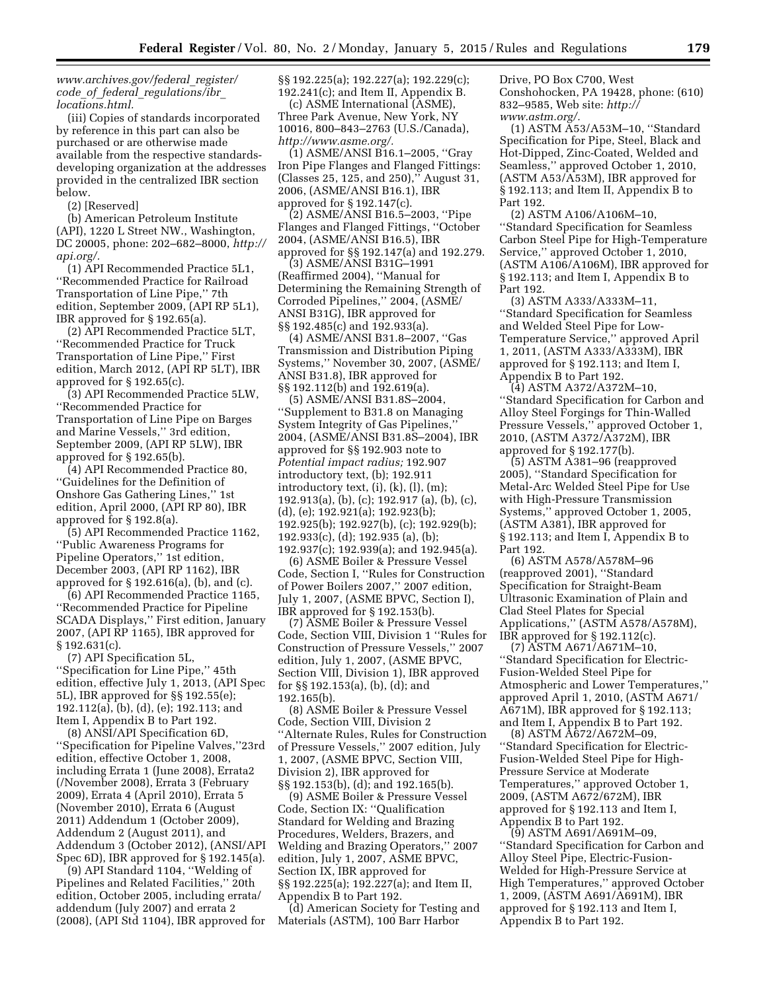*[www.archives.gov/federal](http://www.archives.gov/federal_register/code_of_federal_regulations/ibr_locations.html)*\_*register/ code*\_*of*\_*federal*\_*[regulations/ibr](http://www.archives.gov/federal_register/code_of_federal_regulations/ibr_locations.html)*\_ *[locations.html.](http://www.archives.gov/federal_register/code_of_federal_regulations/ibr_locations.html)* 

(iii) Copies of standards incorporated by reference in this part can also be purchased or are otherwise made available from the respective standardsdeveloping organization at the addresses provided in the centralized IBR section below.

(2) [Reserved]

(b) American Petroleum Institute (API), 1220 L Street NW., Washington, DC 20005, phone: 202–682–8000, *[http://](http://api.org/) [api.org/.](http://api.org/)* 

(1) API Recommended Practice 5L1, ''Recommended Practice for Railroad Transportation of Line Pipe,'' 7th edition, September 2009, (API RP 5L1), IBR approved for § 192.65(a).

(2) API Recommended Practice 5LT, ''Recommended Practice for Truck Transportation of Line Pipe,'' First edition, March 2012, (API RP 5LT), IBR approved for § 192.65(c).

(3) API Recommended Practice 5LW, ''Recommended Practice for Transportation of Line Pipe on Barges and Marine Vessels,'' 3rd edition, September 2009, (API RP 5LW), IBR approved for § 192.65(b).

(4) API Recommended Practice 80, ''Guidelines for the Definition of Onshore Gas Gathering Lines,'' 1st edition, April 2000, (API RP 80), IBR approved for § 192.8(a).

(5) API Recommended Practice 1162, ''Public Awareness Programs for Pipeline Operators,'' 1st edition, December 2003, (API RP 1162), IBR approved for § 192.616(a), (b), and (c).

(6) API Recommended Practice 1165, ''Recommended Practice for Pipeline SCADA Displays,'' First edition, January 2007, (API RP 1165), IBR approved for § 192.631(c).

(7) API Specification 5L, ''Specification for Line Pipe,'' 45th edition, effective July 1, 2013, (API Spec 5L), IBR approved for §§ 192.55(e); 192.112(a), (b), (d), (e); 192.113; and Item I, Appendix B to Part 192.

(8) ANSI/API Specification 6D, ''Specification for Pipeline Valves,''23rd edition, effective October 1, 2008, including Errata 1 (June 2008), Errata2 (/November 2008), Errata 3 (February 2009), Errata 4 (April 2010), Errata 5 (November 2010), Errata 6 (August 2011) Addendum 1 (October 2009), Addendum 2 (August 2011), and Addendum 3 (October 2012), (ANSI/API Spec 6D), IBR approved for § 192.145(a).

(9) API Standard 1104, ''Welding of Pipelines and Related Facilities,'' 20th edition, October 2005, including errata/ addendum (July 2007) and errata 2 (2008), (API Std 1104), IBR approved for §§ 192.225(a); 192.227(a); 192.229(c); 192.241(c); and Item II, Appendix B.

(c) ASME International (ASME), Three Park Avenue, New York, NY 10016, 800–843–2763 (U.S./Canada), *[http://www.asme.org/.](http://www.asme.org/)* 

(1) ASME/ANSI B16.1–2005, ''Gray Iron Pipe Flanges and Flanged Fittings: (Classes 25, 125, and 250),'' August 31, 2006, (ASME/ANSI B16.1), IBR approved for § 192.147(c).

(2) ASME/ANSI B16.5–2003, ''Pipe Flanges and Flanged Fittings, ''October 2004, (ASME/ANSI B16.5), IBR approved for §§ 192.147(a) and 192.279.

(3) ASME/ANSI B31G–1991 (Reaffirmed 2004), ''Manual for Determining the Remaining Strength of Corroded Pipelines,'' 2004, (ASME/ ANSI B31G), IBR approved for §§ 192.485(c) and 192.933(a).

(4) ASME/ANSI B31.8–2007, ''Gas Transmission and Distribution Piping Systems,'' November 30, 2007, (ASME/ ANSI B31.8), IBR approved for §§ 192.112(b) and 192.619(a).

(5) ASME/ANSI B31.8S–2004, ''Supplement to B31.8 on Managing System Integrity of Gas Pipelines,'' 2004, (ASME/ANSI B31.8S–2004), IBR approved for §§ 192.903 note to *Potential impact radius;* 192.907 introductory text, (b); 192.911 introductory text, (i), (k), (l), (m); 192.913(a), (b), (c); 192.917 (a), (b), (c), (d), (e); 192.921(a); 192.923(b); 192.925(b); 192.927(b), (c); 192.929(b); 192.933(c), (d); 192.935 (a), (b); 192.937(c); 192.939(a); and 192.945(a).

(6) ASME Boiler & Pressure Vessel Code, Section I, ''Rules for Construction of Power Boilers 2007,'' 2007 edition, July 1, 2007, (ASME BPVC, Section I), IBR approved for § 192.153(b).

(7) ASME Boiler & Pressure Vessel Code, Section VIII, Division 1 ''Rules for Construction of Pressure Vessels,'' 2007 edition, July 1, 2007, (ASME BPVC, Section VIII, Division 1), IBR approved for §§ 192.153(a), (b), (d); and 192.165(b).

(8) ASME Boiler & Pressure Vessel Code, Section VIII, Division 2 ''Alternate Rules, Rules for Construction of Pressure Vessels,'' 2007 edition, July 1, 2007, (ASME BPVC, Section VIII, Division 2), IBR approved for §§ 192.153(b), (d); and 192.165(b).

(9) ASME Boiler & Pressure Vessel Code, Section IX: ''Qualification Standard for Welding and Brazing Procedures, Welders, Brazers, and Welding and Brazing Operators,'' 2007 edition, July 1, 2007, ASME BPVC, Section IX, IBR approved for §§ 192.225(a); 192.227(a); and Item II, Appendix B to Part 192.

(d) American Society for Testing and Materials (ASTM), 100 Barr Harbor

Drive, PO Box C700, West Conshohocken, PA 19428, phone: (610) 832–9585, Web site: *[http://](http://www.astm.org/) [www.astm.org/.](http://www.astm.org/)* 

(1) ASTM A53/A53M–10, ''Standard Specification for Pipe, Steel, Black and Hot-Dipped, Zinc-Coated, Welded and Seamless,'' approved October 1, 2010, (ASTM A53/A53M), IBR approved for § 192.113; and Item II, Appendix B to Part 192.

(2) ASTM A106/A106M–10, ''Standard Specification for Seamless Carbon Steel Pipe for High-Temperature Service,'' approved October 1, 2010, (ASTM A106/A106M), IBR approved for § 192.113; and Item I, Appendix B to Part 192.

(3) ASTM A333/A333M–11, ''Standard Specification for Seamless and Welded Steel Pipe for Low-Temperature Service,'' approved April 1, 2011, (ASTM A333/A333M), IBR approved for § 192.113; and Item I, Appendix B to Part 192.

(4) ASTM A372/A372M–10, ''Standard Specification for Carbon and Alloy Steel Forgings for Thin-Walled Pressure Vessels,'' approved October 1, 2010, (ASTM A372/A372M), IBR approved for § 192.177(b).

(5) ASTM A381–96 (reapproved 2005), ''Standard Specification for Metal-Arc Welded Steel Pipe for Use with High-Pressure Transmission Systems,'' approved October 1, 2005, (ASTM A381), IBR approved for § 192.113; and Item I, Appendix B to Part 192.

(6) ASTM A578/A578M–96 (reapproved 2001), ''Standard Specification for Straight-Beam Ultrasonic Examination of Plain and Clad Steel Plates for Special Applications,'' (ASTM A578/A578M), IBR approved for § 192.112(c).

(7) ASTM A671/A671M–10, ''Standard Specification for Electric-Fusion-Welded Steel Pipe for Atmospheric and Lower Temperatures,'' approved April 1, 2010, (ASTM A671/ A671M), IBR approved for § 192.113; and Item I, Appendix B to Part 192.

(8) ASTM A672/A672M–09, ''Standard Specification for Electric-Fusion-Welded Steel Pipe for High-Pressure Service at Moderate Temperatures,'' approved October 1, 2009, (ASTM A672/672M), IBR approved for § 192.113 and Item I, Appendix B to Part 192.

(9) ASTM A691/A691M–09, ''Standard Specification for Carbon and Alloy Steel Pipe, Electric-Fusion-Welded for High-Pressure Service at High Temperatures,'' approved October 1, 2009, (ASTM A691/A691M), IBR approved for § 192.113 and Item I, Appendix B to Part 192.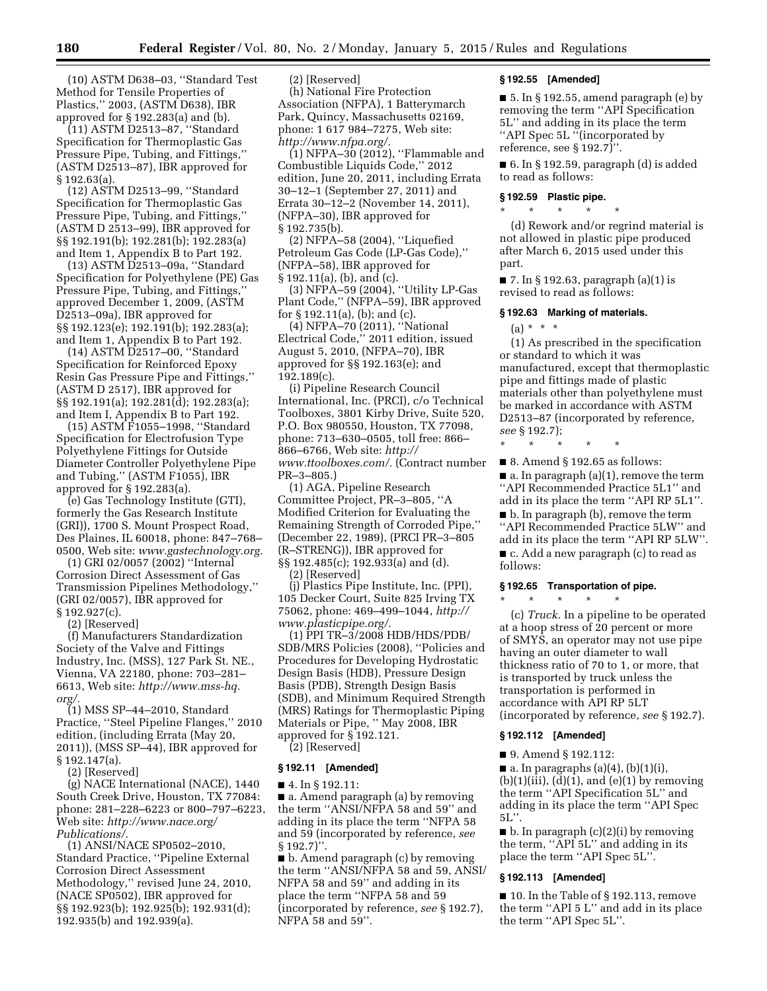(10) ASTM D638–03, ''Standard Test Method for Tensile Properties of Plastics,'' 2003, (ASTM D638), IBR approved for § 192.283(a) and (b).

(11) ASTM D2513–87, ''Standard Specification for Thermoplastic Gas Pressure Pipe, Tubing, and Fittings,'' (ASTM D2513–87), IBR approved for § 192.63(a).

(12) ASTM D2513–99, ''Standard Specification for Thermoplastic Gas Pressure Pipe, Tubing, and Fittings,'' (ASTM D 2513–99), IBR approved for §§ 192.191(b); 192.281(b); 192.283(a) and Item 1, Appendix B to Part 192.

(13) ASTM D2513–09a, ''Standard Specification for Polyethylene (PE) Gas Pressure Pipe, Tubing, and Fittings,'' approved December 1, 2009, (ASTM D2513–09a), IBR approved for §§ 192.123(e); 192.191(b); 192.283(a); and Item 1, Appendix B to Part 192.

(14) ASTM D2517–00, ''Standard Specification for Reinforced Epoxy Resin Gas Pressure Pipe and Fittings,'' (ASTM D 2517), IBR approved for §§ 192.191(a); 192.281(d); 192.283(a); and Item I, Appendix B to Part 192.

(15) ASTM F1055–1998, ''Standard Specification for Electrofusion Type Polyethylene Fittings for Outside Diameter Controller Polyethylene Pipe and Tubing,'' (ASTM F1055), IBR approved for § 192.283(a).

(e) Gas Technology Institute (GTI), formerly the Gas Research Institute (GRI)), 1700 S. Mount Prospect Road, Des Plaines, IL 60018, phone: 847–768– 0500, Web site: *[www.gastechnology.org.](http://www.gastechnology.org)* 

(1) GRI 02/0057 (2002) ''Internal Corrosion Direct Assessment of Gas Transmission Pipelines Methodology,'' (GRI 02/0057), IBR approved for § 192.927(c).

(2) [Reserved]

(f) Manufacturers Standardization Society of the Valve and Fittings Industry, Inc. (MSS), 127 Park St. NE., Vienna, VA 22180, phone: 703–281– 6613, Web site: *[http://www.mss-hq.](http://www.mss-hq.org/)  [org/.](http://www.mss-hq.org/)* 

(1) MSS SP–44–2010, Standard Practice, ''Steel Pipeline Flanges,'' 2010 edition, (including Errata (May 20, 2011)), (MSS SP–44), IBR approved for § 192.147(a).

(2) [Reserved]

(g) NACE International (NACE), 1440 South Creek Drive, Houston, TX 77084: phone: 281–228–6223 or 800–797–6223, Web site: *[http://www.nace.org/](http://www.nace.org/Publications/) [Publications/.](http://www.nace.org/Publications/)* 

(1) ANSI/NACE SP0502–2010, Standard Practice, ''Pipeline External Corrosion Direct Assessment Methodology,'' revised June 24, 2010, (NACE SP0502), IBR approved for §§ 192.923(b); 192.925(b); 192.931(d); 192.935(b) and 192.939(a).

(2) [Reserved]

(h) National Fire Protection Association (NFPA), 1 Batterymarch Park, Quincy, Massachusetts 02169, phone: 1 617 984–7275, Web site: *[http://www.nfpa.org/.](http://www.nfpa.org/)* 

(1) NFPA–30 (2012), ''Flammable and Combustible Liquids Code,'' 2012 edition, June 20, 2011, including Errata 30–12–1 (September 27, 2011) and Errata 30–12–2 (November 14, 2011), (NFPA–30), IBR approved for § 192.735(b).

(2) NFPA–58 (2004), ''Liquefied Petroleum Gas Code (LP-Gas Code),'' (NFPA–58), IBR approved for § 192.11(a), (b), and (c).

(3) NFPA–59 (2004), ''Utility LP-Gas Plant Code,'' (NFPA–59), IBR approved for § 192.11(a), (b); and (c).

(4) NFPA–70 (2011), ''National Electrical Code,'' 2011 edition, issued August 5, 2010, (NFPA–70), IBR approved for §§ 192.163(e); and 192.189(c).

(i) Pipeline Research Council International, Inc. (PRCI), c/o Technical Toolboxes, 3801 Kirby Drive, Suite 520, P.O. Box 980550, Houston, TX 77098, phone: 713–630–0505, toll free: 866– 866–6766, Web site: *[http://](http://www.ttoolboxes.com/) [www.ttoolboxes.com/.](http://www.ttoolboxes.com/)* (Contract number PR–3–805.)

(1) AGA, Pipeline Research Committee Project, PR–3–805, ''A Modified Criterion for Evaluating the Remaining Strength of Corroded Pipe,'' (December 22, 1989), (PRCI PR–3–805 (R–STRENG)), IBR approved for §§ 192.485(c); 192.933(a) and (d). (2) [Reserved]

(j) Plastics Pipe Institute, Inc. (PPI), 105 Decker Court, Suite 825 Irving TX 75062, phone: 469–499–1044, *[http://](http://www.plasticpipe.org/) [www.plasticpipe.org/.](http://www.plasticpipe.org/)* 

(1) PPI TR–3/2008 HDB/HDS/PDB/ SDB/MRS Policies (2008), ''Policies and Procedures for Developing Hydrostatic Design Basis (HDB), Pressure Design Basis (PDB), Strength Design Basis (SDB), and Minimum Required Strength (MRS) Ratings for Thermoplastic Piping Materials or Pipe, '' May 2008, IBR approved for § 192.121.

(2) [Reserved]

#### **§ 192.11 [Amended]**

■ 4. In § 192.11:

■ a. Amend paragraph (a) by removing the term ''ANSI/NFPA 58 and 59'' and adding in its place the term ''NFPA 58 and 59 (incorporated by reference, *see*   $§ 192.7$ ".

■ b. Amend paragraph (c) by removing the term ''ANSI/NFPA 58 and 59, ANSI/ NFPA 58 and 59'' and adding in its place the term ''NFPA 58 and 59 (incorporated by reference, *see* § 192.7), NFPA 58 and 59''.

#### **§ 192.55 [Amended]**

■ 5. In § 192.55, amend paragraph (e) by removing the term ''API Specification 5L'' and adding in its place the term ''API Spec 5L ''(incorporated by reference, see § 192.7)''.

 $\blacksquare$  6. In § 192.59, paragraph (d) is added to read as follows:

# **§ 192.59 Plastic pipe.**  \* \* \* \* \*

(d) Rework and/or regrind material is not allowed in plastic pipe produced after March 6, 2015 used under this part.

 $\blacksquare$  7. In § 192.63, paragraph (a)(1) is revised to read as follows:

#### **§ 192.63 Marking of materials.**

(a) \* \* \*

(1) As prescribed in the specification or standard to which it was manufactured, except that thermoplastic pipe and fittings made of plastic materials other than polyethylene must be marked in accordance with ASTM D2513–87 (incorporated by reference, *see* § 192.7);

\* \* \* \* \*

■ 8. Amend § 192.65 as follows:  $\blacksquare$  a. In paragraph (a)(1), remove the term ''API Recommended Practice 5L1'' and add in its place the term ''API RP 5L1''.

■ b. In paragraph (b), remove the term ''API Recommended Practice 5LW'' and add in its place the term ''API RP 5LW''.

■ c. Add a new paragraph (c) to read as follows:

# **§ 192.65 Transportation of pipe.**

\* \* \* \* \* (c) *Truck.* In a pipeline to be operated at a hoop stress of 20 percent or more of SMYS, an operator may not use pipe having an outer diameter to wall thickness ratio of 70 to 1, or more, that is transported by truck unless the transportation is performed in accordance with API RP 5LT (incorporated by reference, *see* § 192.7).

#### **§ 192.112 [Amended]**

■ 9. Amend § 192.112:

 $\blacksquare$  a. In paragraphs (a)(4), (b)(1)(i),  $(b)(1)(iii)$ ,  $(d)(1)$ , and  $(e)(1)$  by removing the term ''API Specification 5L'' and adding in its place the term ''API Spec 5L''.

■ b. In paragraph (c)(2)(i) by removing the term, ''API 5L'' and adding in its place the term ''API Spec 5L''.

#### **§ 192.113 [Amended]**

■ 10. In the Table of § 192.113, remove the term ''API 5 L'' and add in its place the term ''API Spec 5L''.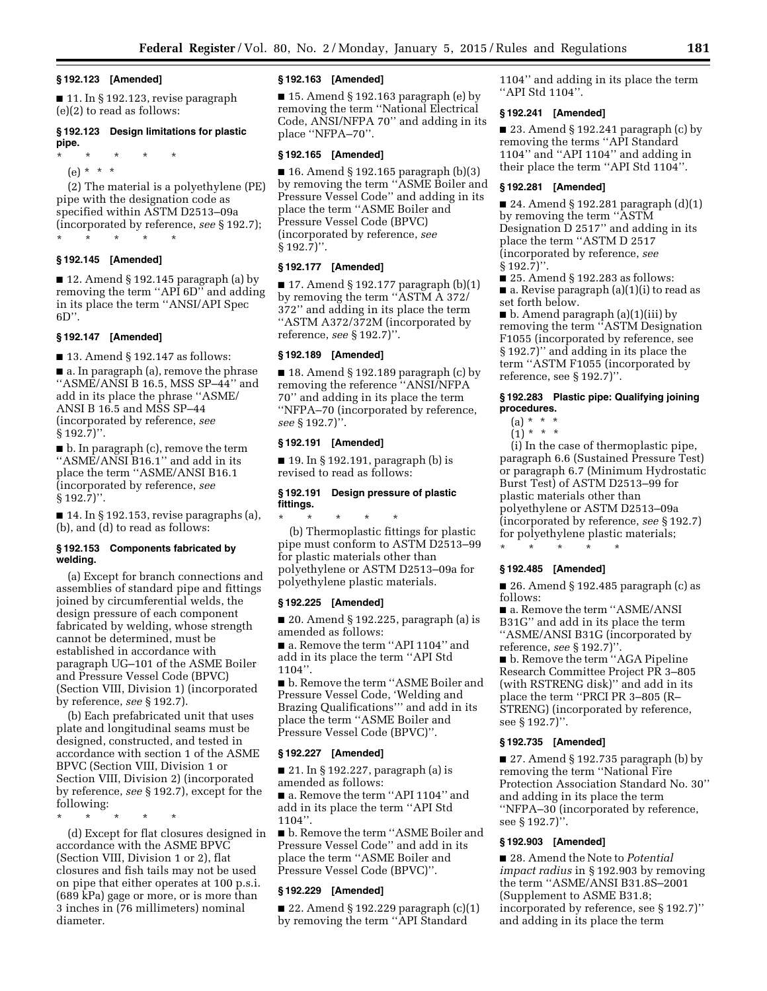#### **§ 192.123 [Amended]**

■ 11. In § 192.123, revise paragraph (e)(2) to read as follows:

# **§ 192.123 Design limitations for plastic pipe.**

\* \* \* \* \*

 $(e) * * * *$ 

(2) The material is a polyethylene (PE) pipe with the designation code as specified within ASTM D2513–09a (incorporated by reference, *see* § 192.7); \* \* \* \* \*

# **§ 192.145 [Amended]**

■ 12. Amend § 192.145 paragraph (a) by removing the term ''API 6D'' and adding in its place the term ''ANSI/API Spec  $6D$ ".

### **§ 192.147 [Amended]**

■ 13. Amend § 192.147 as follows:

■ a. In paragraph (a), remove the phrase ''ASME/ANSI B 16.5, MSS SP–44'' and add in its place the phrase ''ASME/ ANSI B 16.5 and MSS SP–44 (incorporated by reference, *see*  § 192.7)''.

■ b. In paragraph (c), remove the term ''ASME/ANSI B16.1'' and add in its place the term ''ASME/ANSI B16.1 (incorporated by reference, *see*   $§ 192.7$ ".

 $\blacksquare$  14. In § 192.153, revise paragraphs (a), (b), and (d) to read as follows:

## **§ 192.153 Components fabricated by welding.**

(a) Except for branch connections and assemblies of standard pipe and fittings joined by circumferential welds, the design pressure of each component fabricated by welding, whose strength cannot be determined, must be established in accordance with paragraph UG–101 of the ASME Boiler and Pressure Vessel Code (BPVC) (Section VIII, Division 1) (incorporated by reference, *see* § 192.7).

(b) Each prefabricated unit that uses plate and longitudinal seams must be designed, constructed, and tested in accordance with section 1 of the ASME BPVC (Section VIII, Division 1 or Section VIII, Division 2) (incorporated by reference, *see* § 192.7), except for the following:

\* \* \* \* \*

(d) Except for flat closures designed in accordance with the ASME BPVC (Section VIII, Division 1 or 2), flat closures and fish tails may not be used on pipe that either operates at 100 p.s.i. (689 kPa) gage or more, or is more than 3 inches in (76 millimeters) nominal diameter.

## **§ 192.163 [Amended]**

■ 15. Amend § 192.163 paragraph (e) by removing the term ''National Electrical Code, ANSI/NFPA 70'' and adding in its place ''NFPA–70''.

### **§ 192.165 [Amended]**

■ 16. Amend § 192.165 paragraph  $(b)(3)$ by removing the term ''ASME Boiler and Pressure Vessel Code'' and adding in its place the term ''ASME Boiler and Pressure Vessel Code (BPVC) (incorporated by reference, *see*  § 192.7)''.

# **§ 192.177 [Amended]**

 $\blacksquare$  17. Amend § 192.177 paragraph (b)(1) by removing the term ''ASTM A 372/ 372'' and adding in its place the term ''ASTM A372/372M (incorporated by reference, *see* § 192.7)''.

### **§ 192.189 [Amended]**

■ 18. Amend § 192.189 paragraph (c) by removing the reference ''ANSI/NFPA 70'' and adding in its place the term ''NFPA–70 (incorporated by reference, *see* § 192.7)''.

## **§ 192.191 [Amended]**

■ 19. In § 192.191, paragraph (b) is revised to read as follows:

# **§ 192.191 Design pressure of plastic fittings.**

\* \* \* \* \*

(b) Thermoplastic fittings for plastic pipe must conform to ASTM D2513–99 for plastic materials other than polyethylene or ASTM D2513–09a for polyethylene plastic materials.

### **§ 192.225 [Amended]**

■ 20. Amend § 192.225, paragraph (a) is amended as follows:

■ a. Remove the term "API 1104" and add in its place the term ''API Std 1104''.

■ b. Remove the term "ASME Boiler and Pressure Vessel Code, 'Welding and Brazing Qualifications''' and add in its place the term ''ASME Boiler and Pressure Vessel Code (BPVC)''.

#### **§ 192.227 [Amended]**

■ 21. In § 192.227, paragraph (a) is amended as follows:

■ a. Remove the term "API 1104" and add in its place the term ''API Std 1104''.

■ b. Remove the term ''ASME Boiler and Pressure Vessel Code'' and add in its place the term ''ASME Boiler and Pressure Vessel Code (BPVC)''.

#### **§ 192.229 [Amended]**

 $\blacksquare$  22. Amend § 192.229 paragraph  $(c)(1)$ by removing the term ''API Standard

1104'' and adding in its place the term ''API Std 1104''.

# **§ 192.241 [Amended]**

■ 23. Amend § 192.241 paragraph (c) by removing the terms ''API Standard 1104'' and ''API 1104'' and adding in their place the term ''API Std 1104''.

### **§ 192.281 [Amended]**

■ 24. Amend § 192.281 paragraph (d)(1) by removing the term ''ASTM Designation D 2517'' and adding in its place the term ''ASTM D 2517 (incorporated by reference, *see*   $§ 192.7$ ". ■ 25. Amend § 192.283 as follows:

 $\blacksquare$  a. Revise paragraph (a)(1)(i) to read as set forth below.

■ b. Amend paragraph (a)(1)(iii) by removing the term ''ASTM Designation F1055 (incorporated by reference, see § 192.7)'' and adding in its place the term ''ASTM F1055 (incorporated by reference, see § 192.7)''.

# **§ 192.283 Plastic pipe: Qualifying joining procedures.**

- $(a) * * * *$
- $(1) * * * *$

(i) In the case of thermoplastic pipe, paragraph 6.6 (Sustained Pressure Test) or paragraph 6.7 (Minimum Hydrostatic Burst Test) of ASTM D2513–99 for plastic materials other than polyethylene or ASTM D2513–09a (incorporated by reference, *see* § 192.7) for polyethylene plastic materials; \* \* \* \* \*

## **§ 192.485 [Amended]**

■ 26. Amend § 192.485 paragraph (c) as follows:

■ a. Remove the term "ASME/ANSI B31G'' and add in its place the term ''ASME/ANSI B31G (incorporated by reference, *see* § 192.7)''.

■ b. Remove the term "AGA Pipeline Research Committee Project PR 3–805 (with RSTRENG disk)'' and add in its place the term ''PRCI PR 3–805 (R– STRENG) (incorporated by reference, see § 192.7)''.

## **§ 192.735 [Amended]**

■ 27. Amend § 192.735 paragraph (b) by removing the term ''National Fire Protection Association Standard No. 30'' and adding in its place the term ''NFPA–30 (incorporated by reference, see § 192.7)''.

# **§ 192.903 [Amended]**

■ 28. Amend the Note to *Potential impact radius* in § 192.903 by removing the term ''ASME/ANSI B31.8S–2001 (Supplement to ASME B31.8; incorporated by reference, see § 192.7)'' and adding in its place the term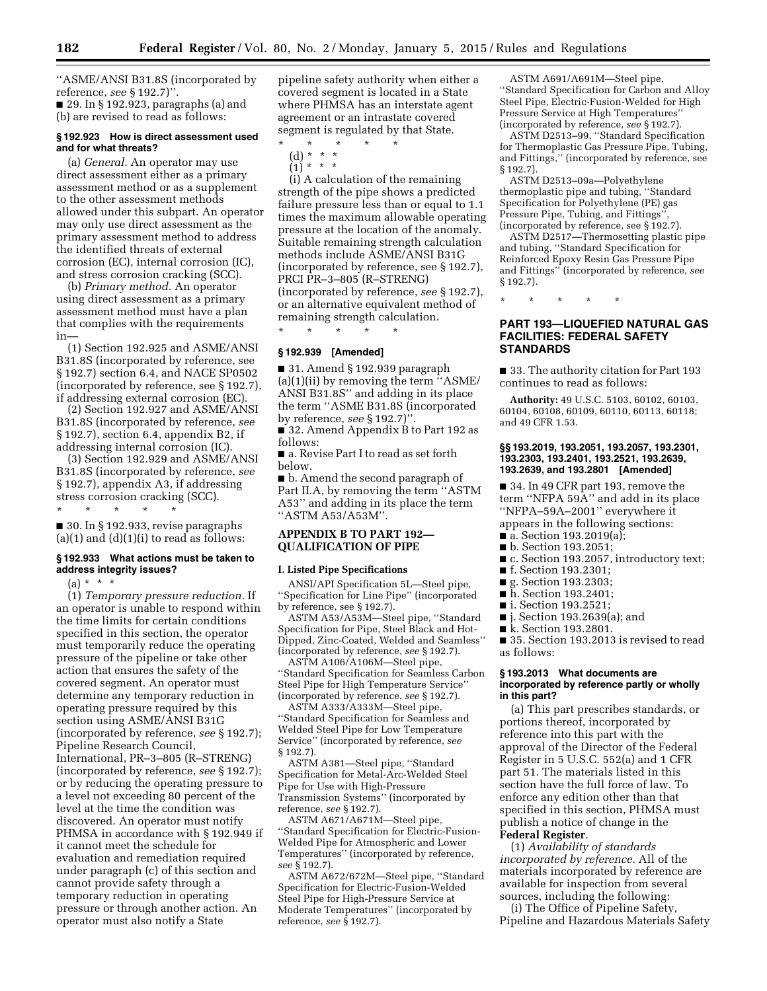''ASME/ANSI B31.8S (incorporated by reference, *see* § 192.7)''. ■ 29. In § 192.923, paragraphs (a) and (b) are revised to read as follows:

**§ 192.923 How is direct assessment used and for what threats?** 

(a) *General.* An operator may use direct assessment either as a primary assessment method or as a supplement to the other assessment methods allowed under this subpart. An operator may only use direct assessment as the primary assessment method to address the identified threats of external corrosion (EC), internal corrosion (IC), and stress corrosion cracking (SCC).

(b) *Primary method.* An operator using direct assessment as a primary assessment method must have a plan that complies with the requirements in—

(1) Section 192.925 and ASME/ANSI B31.8S (incorporated by reference, see § 192.7) section 6.4, and NACE SP0502 (incorporated by reference, see § 192.7), if addressing external corrosion (EC).

(2) Section 192.927 and ASME/ANSI B31.8S (incorporated by reference, *see*  § 192.7), section 6.4, appendix B2, if addressing internal corrosion (IC).

(3) Section 192.929 and ASME/ANSI B31.8S (incorporated by reference, *see*  § 192.7), appendix A3, if addressing stress corrosion cracking (SCC). \* \* \* \* \*

 $\blacksquare$  30. In § 192.933, revise paragraphs  $(a)(1)$  and  $(d)(1)(i)$  to read as follows:

# **§ 192.933 What actions must be taken to address integrity issues?**

 $(a) * * * *$ 

(1) *Temporary pressure reduction.* If an operator is unable to respond within the time limits for certain conditions specified in this section, the operator must temporarily reduce the operating pressure of the pipeline or take other action that ensures the safety of the covered segment. An operator must determine any temporary reduction in operating pressure required by this section using ASME/ANSI B31G (incorporated by reference, *see* § 192.7); Pipeline Research Council, International, PR–3–805 (R–STRENG) (incorporated by reference, *see* § 192.7); or by reducing the operating pressure to a level not exceeding 80 percent of the level at the time the condition was discovered. An operator must notify PHMSA in accordance with § 192.949 if it cannot meet the schedule for evaluation and remediation required under paragraph (c) of this section and cannot provide safety through a temporary reduction in operating pressure or through another action. An operator must also notify a State

pipeline safety authority when either a covered segment is located in a State where PHMSA has an interstate agent agreement or an intrastate covered segment is regulated by that State.

- \* \* \* \* \*
	- (d) \* \* \*  $\binom{1}{1}$  \* \* \*

(i) A calculation of the remaining strength of the pipe shows a predicted failure pressure less than or equal to 1.1 times the maximum allowable operating pressure at the location of the anomaly. Suitable remaining strength calculation methods include ASME/ANSI B31G (incorporated by reference, see § 192.7), PRCI PR–3–805 (R–STRENG) (incorporated by reference, *see* § 192.7), or an alternative equivalent method of remaining strength calculation.

### **§ 192.939 [Amended]**

\* \* \* \* \*

■ 31. Amend § 192.939 paragraph (a)(1)(ii) by removing the term ''ASME/ ANSI B31.8S'' and adding in its place the term ''ASME B31.8S (incorporated by reference, *see* § 192.7)''.

■ 32. Amend Appendix B to Part 192 as follows:

■ a. Revise Part I to read as set forth below.

■ b. Amend the second paragraph of Part II.A, by removing the term ''ASTM A53'' and adding in its place the term ''ASTM A53/A53M''.

# **APPENDIX B TO PART 192— QUALIFICATION OF PIPE**

#### **I. Listed Pipe Specifications**

ANSI/API Specification 5L—Steel pipe, ''Specification for Line Pipe'' (incorporated by reference, see § 192.7).

ASTM A53/A53M—Steel pipe, ''Standard Specification for Pipe, Steel Black and Hot-Dipped, Zinc-Coated, Welded and Seamless'' (incorporated by reference, *see* § 192.7).

ASTM A106/A106M—Steel pipe, ''Standard Specification for Seamless Carbon Steel Pipe for High Temperature Service'' (incorporated by reference, *see* § 192.7).

ASTM A333/A333M—Steel pipe, ''Standard Specification for Seamless and Welded Steel Pipe for Low Temperature Service'' (incorporated by reference, *see*  § 192.7).

ASTM A381—Steel pipe, ''Standard Specification for Metal-Arc-Welded Steel Pipe for Use with High-Pressure Transmission Systems'' (incorporated by reference, *see* § 192.7).

ASTM A671/A671M—Steel pipe, ''Standard Specification for Electric-Fusion-Welded Pipe for Atmospheric and Lower Temperatures'' (incorporated by reference, *see* § 192.7).

ASTM A672/672M—Steel pipe, ''Standard Specification for Electric-Fusion-Welded Steel Pipe for High-Pressure Service at Moderate Temperatures'' (incorporated by reference, *see* § 192.7).

ASTM A691/A691M—Steel pipe, ''Standard Specification for Carbon and Alloy Steel Pipe, Electric-Fusion-Welded for High Pressure Service at High Temperatures'' (incorporated by reference, *see* § 192.7).

ASTM D2513–99, ''Standard Specification for Thermoplastic Gas Pressure Pipe, Tubing, and Fittings,'' (incorporated by reference, see § 192.7).

ASTM D2513–09a—Polyethylene thermoplastic pipe and tubing, ''Standard Specification for Polyethylene (PE) gas Pressure Pipe, Tubing, and Fittings' (incorporated by reference, see § 192.7).

ASTM D2517—Thermosetting plastic pipe and tubing, ''Standard Specification for Reinforced Epoxy Resin Gas Pressure Pipe and Fittings'' (incorporated by reference, *see*  § 192.7).

\* \* \* \* \*

# **PART 193—LIQUEFIED NATURAL GAS FACILITIES: FEDERAL SAFETY STANDARDS**

■ 33. The authority citation for Part 193 continues to read as follows:

**Authority:** 49 U.S.C. 5103, 60102, 60103, 60104, 60108, 60109, 60110, 60113, 60118; and 49 CFR 1.53.

## **§§ 193.2019, 193.2051, 193.2057, 193.2301, 193.2303, 193.2401, 193.2521, 193.2639, 193.2639, and 193.2801 [Amended]**

■ 34. In 49 CFR part 193, remove the term ''NFPA 59A'' and add in its place ''NFPA–59A–2001'' everywhere it appears in the following sections:

- $\overline{\bullet}$  a. Section 193.2019(a);
- b. Section 193.2051;
- c. Section 193.2057, introductory text;
- f. Section 193.2301;
- g. Section 193.2303;
- h. Section 193.2401;
- i. Section 193.2521;
- j. Section 193.2639(a); and
- k. Section 193.2801.

■ 35. Section 193.2013 is revised to read as follows:

### **§ 193.2013 What documents are incorporated by reference partly or wholly in this part?**

(a) This part prescribes standards, or portions thereof, incorporated by reference into this part with the approval of the Director of the Federal Register in 5 U.S.C. 552(a) and 1 CFR part 51. The materials listed in this section have the full force of law. To enforce any edition other than that specified in this section, PHMSA must publish a notice of change in the **Federal Register**.

(1) *Availability of standards incorporated by reference.* All of the materials incorporated by reference are available for inspection from several sources, including the following:

(i) The Office of Pipeline Safety, Pipeline and Hazardous Materials Safety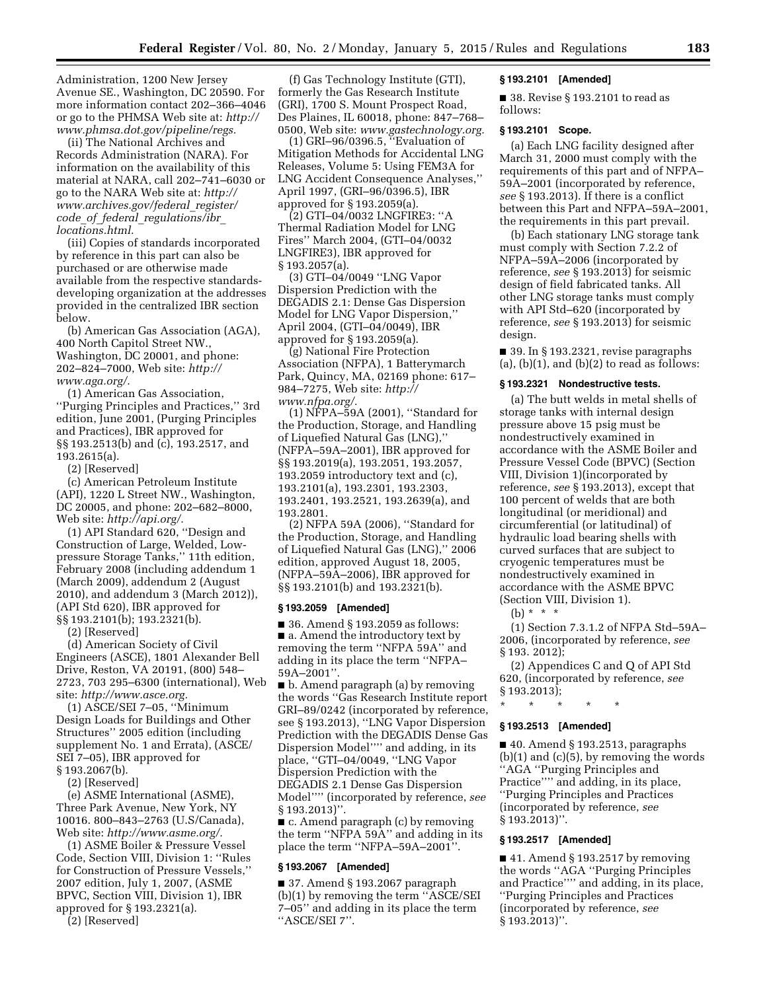Administration, 1200 New Jersey Avenue SE., Washington, DC 20590. For more information contact 202–366–4046 or go to the PHMSA Web site at: *[http://](http://www.phmsa.dot.gov/pipeline/regs)  [www.phmsa.dot.gov/pipeline/regs.](http://www.phmsa.dot.gov/pipeline/regs)* 

(ii) The National Archives and Records Administration (NARA). For information on the availability of this material at NARA, call 202–741–6030 or go to the NARA Web site at: *[http://](http://www.archives.gov/federal_register/code_of_federal_regulations/ibr_locations.html) [www.archives.gov/federal](http://www.archives.gov/federal_register/code_of_federal_regulations/ibr_locations.html)*\_*register/ code*\_*of*\_*federal*\_*[regulations/ibr](http://www.archives.gov/federal_register/code_of_federal_regulations/ibr_locations.html)*\_ *[locations.html.](http://www.archives.gov/federal_register/code_of_federal_regulations/ibr_locations.html)* 

(iii) Copies of standards incorporated by reference in this part can also be purchased or are otherwise made available from the respective standardsdeveloping organization at the addresses provided in the centralized IBR section below.

(b) American Gas Association (AGA), 400 North Capitol Street NW., Washington, DC 20001, and phone: 202–824–7000, Web site: *[http://](http://www.aga.org/) [www.aga.org/.](http://www.aga.org/)* 

(1) American Gas Association, ''Purging Principles and Practices,'' 3rd edition, June 2001, (Purging Principles and Practices), IBR approved for §§ 193.2513(b) and (c), 193.2517, and 193.2615(a).

(2) [Reserved]

(c) American Petroleum Institute (API), 1220 L Street NW., Washington, DC 20005, and phone: 202–682–8000, Web site: *[http://api.org/.](http://api.org/)* 

(1) API Standard 620, ''Design and Construction of Large, Welded, Lowpressure Storage Tanks,'' 11th edition, February 2008 (including addendum 1 (March 2009), addendum 2 (August 2010), and addendum 3 (March 2012)), (API Std 620), IBR approved for §§ 193.2101(b); 193.2321(b).

(2) [Reserved]

(d) American Society of Civil Engineers (ASCE), 1801 Alexander Bell Drive, Reston, VA 20191, (800) 548– 2723, 703 295–6300 (international), Web site: *[http://www.asce.org.](http://www.asce.org)* 

(1) ASCE/SEI 7–05, ''Minimum Design Loads for Buildings and Other Structures'' 2005 edition (including supplement No. 1 and Errata), (ASCE/ SEI 7–05), IBR approved for § 193.2067(b).

(2) [Reserved]

(e) ASME International (ASME), Three Park Avenue, New York, NY 10016. 800–843–2763 (U.S/Canada), Web site: *[http://www.asme.org/.](http://www.asme.org/)* 

(1) ASME Boiler & Pressure Vessel Code, Section VIII, Division 1: ''Rules for Construction of Pressure Vessels,'' 2007 edition, July 1, 2007, (ASME BPVC, Section VIII, Division 1), IBR approved for § 193.2321(a).

(2) [Reserved]

(f) Gas Technology Institute (GTI), formerly the Gas Research Institute (GRI), 1700 S. Mount Prospect Road, Des Plaines, IL 60018, phone: 847–768– 0500, Web site: *[www.gastechnology.org.](http://www.gastechnology.org)* 

(1) GRI–96/0396.5, ''Evaluation of Mitigation Methods for Accidental LNG Releases, Volume 5: Using FEM3A for LNG Accident Consequence Analyses,'' April 1997, (GRI–96/0396.5), IBR approved for § 193.2059(a).

(2) GTI–04/0032 LNGFIRE3: ''A Thermal Radiation Model for LNG Fires'' March 2004, (GTI–04/0032 LNGFIRE3), IBR approved for § 193.2057(a).

(3) GTI–04/0049 ''LNG Vapor Dispersion Prediction with the DEGADIS 2.1: Dense Gas Dispersion Model for LNG Vapor Dispersion,'' April 2004, (GTI–04/0049), IBR approved for § 193.2059(a).

(g) National Fire Protection Association (NFPA), 1 Batterymarch Park, Quincy, MA, 02169 phone: 617– 984–7275, Web site: *[http://](http://www.nfpa.org/) [www.nfpa.org/.](http://www.nfpa.org/)* 

(1) NFPA–59A (2001), ''Standard for the Production, Storage, and Handling of Liquefied Natural Gas (LNG),'' (NFPA–59A–2001), IBR approved for §§ 193.2019(a), 193.2051, 193.2057, 193.2059 introductory text and (c), 193.2101(a), 193.2301, 193.2303, 193.2401, 193.2521, 193.2639(a), and 193.2801.

(2) NFPA 59A (2006), ''Standard for the Production, Storage, and Handling of Liquefied Natural Gas (LNG),'' 2006 edition, approved August 18, 2005, (NFPA–59A–2006), IBR approved for §§ 193.2101(b) and 193.2321(b).

# **§ 193.2059 [Amended]**

■ 36. Amend § 193.2059 as follows: ■ a. Amend the introductory text by removing the term ''NFPA 59A'' and adding in its place the term ''NFPA– 59A–2001''.

■ b. Amend paragraph (a) by removing the words ''Gas Research Institute report GRI–89/0242 (incorporated by reference, see § 193.2013), ''LNG Vapor Dispersion Prediction with the DEGADIS Dense Gas Dispersion Model'''' and adding, in its place, "GTI-04/0049, "LNG Vapor Dispersion Prediction with the DEGADIS 2.1 Dense Gas Dispersion Model'''' (incorporated by reference, *see*  § 193.2013)''.

■ c. Amend paragraph (c) by removing the term ''NFPA 59A'' and adding in its place the term ''NFPA–59A–2001''.

#### **§ 193.2067 [Amended]**

■ 37. Amend § 193.2067 paragraph (b)(1) by removing the term ''ASCE/SEI 7–05'' and adding in its place the term ''ASCE/SEI 7''.

### **§ 193.2101 [Amended]**

■ 38. Revise § 193.2101 to read as follows:

### **§ 193.2101 Scope.**

(a) Each LNG facility designed after March 31, 2000 must comply with the requirements of this part and of NFPA– 59A–2001 (incorporated by reference, *see* § 193.2013). If there is a conflict between this Part and NFPA–59A–2001, the requirements in this part prevail.

(b) Each stationary LNG storage tank must comply with Section 7.2.2 of NFPA–59A–2006 (incorporated by reference, *see* § 193.2013) for seismic design of field fabricated tanks. All other LNG storage tanks must comply with API Std–620 (incorporated by reference, *see* § 193.2013) for seismic design.

■ 39. In § 193.2321, revise paragraphs  $(a)$ ,  $(b)(1)$ , and  $(b)(2)$  to read as follows:

### **§ 193.2321 Nondestructive tests.**

(a) The butt welds in metal shells of storage tanks with internal design pressure above 15 psig must be nondestructively examined in accordance with the ASME Boiler and Pressure Vessel Code (BPVC) (Section VIII, Division 1)(incorporated by reference, *see* § 193.2013), except that 100 percent of welds that are both longitudinal (or meridional) and circumferential (or latitudinal) of hydraulic load bearing shells with curved surfaces that are subject to cryogenic temperatures must be nondestructively examined in accordance with the ASME BPVC (Section VIII, Division 1). (b) \* \* \*

(1) Section 7.3.1.2 of NFPA Std–59A– 2006, (incorporated by reference, *see*  § 193. 2012);

(2) Appendices C and Q of API Std 620, (incorporated by reference, *see*  § 193.2013);

\* \* \* \* \*

# **§ 193.2513 [Amended]**

 $\blacksquare$  40. Amend § 193.2513, paragraphs  $(b)(1)$  and  $(c)(5)$ , by removing the words ''AGA ''Purging Principles and Practice'''' and adding, in its place, ''Purging Principles and Practices (incorporated by reference, *see*  § 193.2013)''.

# **§ 193.2517 [Amended]**

 $\blacksquare$  41. Amend § 193.2517 by removing the words ''AGA ''Purging Principles and Practice'''' and adding, in its place, ''Purging Principles and Practices (incorporated by reference, *see*  § 193.2013)''.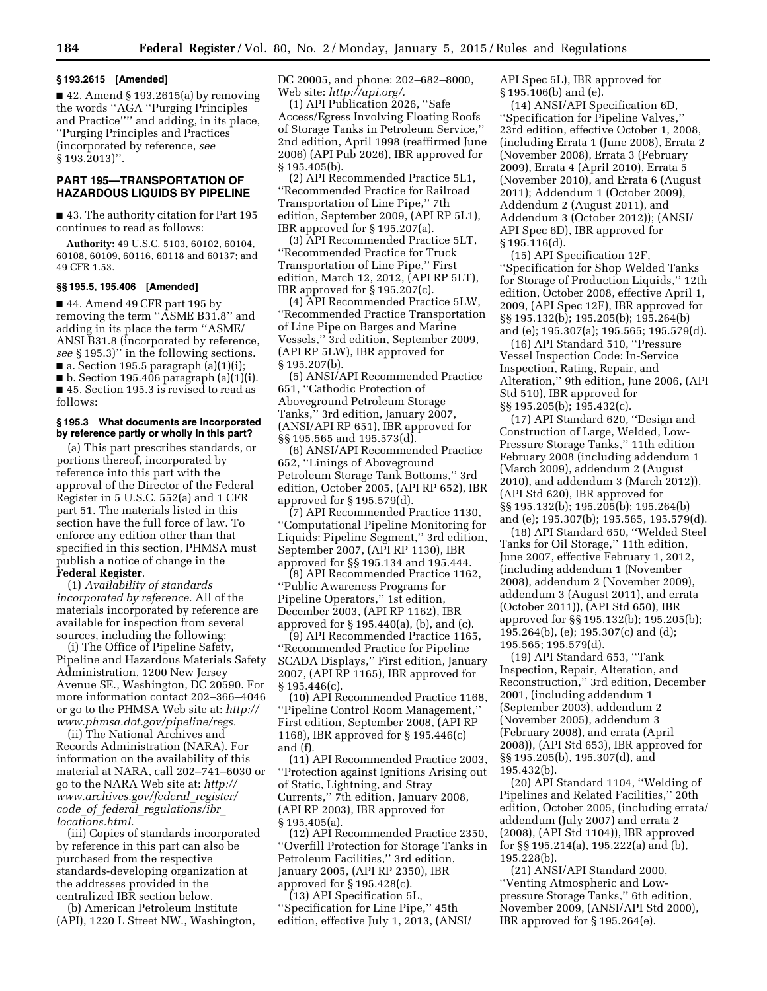### **§ 193.2615 [Amended]**

 $\blacksquare$  42. Amend § 193.2615(a) by removing the words ''AGA ''Purging Principles and Practice'''' and adding, in its place, ''Purging Principles and Practices (incorporated by reference, *see*  § 193.2013)''.

# **PART 195—TRANSPORTATION OF HAZARDOUS LIQUIDS BY PIPELINE**

■ 43. The authority citation for Part 195 continues to read as follows:

**Authority:** 49 U.S.C. 5103, 60102, 60104, 60108, 60109, 60116, 60118 and 60137; and 49 CFR 1.53.

# **§§ 195.5, 195.406 [Amended]**

■ 44. Amend 49 CFR part 195 by removing the term ''ASME B31.8'' and adding in its place the term ''ASME/ ANSI B31.8 (incorporated by reference, *see* § 195.3)'' in the following sections.  $\blacksquare$  a. Section 195.5 paragraph (a)(1)(i);  $\blacksquare$  b. Section 195.406 paragraph (a)(1)(i).

■ 45. Section 195.3 is revised to read as follows:

## **§ 195.3 What documents are incorporated by reference partly or wholly in this part?**

(a) This part prescribes standards, or portions thereof, incorporated by reference into this part with the approval of the Director of the Federal Register in 5 U.S.C. 552(a) and 1 CFR part 51. The materials listed in this section have the full force of law. To enforce any edition other than that specified in this section, PHMSA must publish a notice of change in the **Federal Register**.

(1) *Availability of standards incorporated by reference.* All of the materials incorporated by reference are available for inspection from several sources, including the following:

(i) The Office of Pipeline Safety, Pipeline and Hazardous Materials Safety Administration, 1200 New Jersey Avenue SE., Washington, DC 20590. For more information contact 202–366–4046 or go to the PHMSA Web site at: *[http://](http://www.phmsa.dot.gov/pipeline/regs)  [www.phmsa.dot.gov/pipeline/regs.](http://www.phmsa.dot.gov/pipeline/regs)* 

(ii) The National Archives and Records Administration (NARA). For information on the availability of this material at NARA, call 202–741–6030 or go to the NARA Web site at: *[http://](http://www.archives.gov/federal_register/code_of_federal_regulations/ibr_locations.html) [www.archives.gov/federal](http://www.archives.gov/federal_register/code_of_federal_regulations/ibr_locations.html)*\_*register/ code*\_*of*\_*federal*\_*[regulations/ibr](http://www.archives.gov/federal_register/code_of_federal_regulations/ibr_locations.html)*\_ *[locations.html.](http://www.archives.gov/federal_register/code_of_federal_regulations/ibr_locations.html)* 

(iii) Copies of standards incorporated by reference in this part can also be purchased from the respective standards-developing organization at the addresses provided in the centralized IBR section below.

(b) American Petroleum Institute (API), 1220 L Street NW., Washington, DC 20005, and phone: 202–682–8000, Web site: *[http://api.org/.](http://api.org/)* 

(1) API Publication 2026, ''Safe Access/Egress Involving Floating Roofs of Storage Tanks in Petroleum Service,'' 2nd edition, April 1998 (reaffirmed June 2006) (API Pub 2026), IBR approved for § 195.405(b).

(2) API Recommended Practice 5L1, ''Recommended Practice for Railroad Transportation of Line Pipe,'' 7th edition, September 2009, (API RP 5L1), IBR approved for § 195.207(a).

(3) API Recommended Practice 5LT, ''Recommended Practice for Truck Transportation of Line Pipe,'' First edition, March 12, 2012, (API RP 5LT), IBR approved for § 195.207(c).

(4) API Recommended Practice 5LW, ''Recommended Practice Transportation of Line Pipe on Barges and Marine Vessels,'' 3rd edition, September 2009, (API RP 5LW), IBR approved for § 195.207(b).

(5) ANSI/API Recommended Practice 651, ''Cathodic Protection of Aboveground Petroleum Storage Tanks,'' 3rd edition, January 2007, (ANSI/API RP 651), IBR approved for §§ 195.565 and 195.573(d).

(6) ANSI/API Recommended Practice 652, ''Linings of Aboveground Petroleum Storage Tank Bottoms,'' 3rd edition, October 2005, (API RP 652), IBR approved for § 195.579(d).

(7) API Recommended Practice 1130, ''Computational Pipeline Monitoring for Liquids: Pipeline Segment,'' 3rd edition, September 2007, (API RP 1130), IBR approved for §§ 195.134 and 195.444.

(8) API Recommended Practice 1162, ''Public Awareness Programs for Pipeline Operators,'' 1st edition, December 2003, (API RP 1162), IBR approved for § 195.440(a), (b), and (c).

(9) API Recommended Practice 1165, ''Recommended Practice for Pipeline SCADA Displays,'' First edition, January 2007, (API RP 1165), IBR approved for § 195.446(c).

(10) API Recommended Practice 1168, ''Pipeline Control Room Management,'' First edition, September 2008, (API RP 1168), IBR approved for § 195.446(c) and (f).

(11) API Recommended Practice 2003, ''Protection against Ignitions Arising out of Static, Lightning, and Stray Currents,'' 7th edition, January 2008, (API RP 2003), IBR approved for § 195.405(a).

(12) API Recommended Practice 2350, ''Overfill Protection for Storage Tanks in Petroleum Facilities,'' 3rd edition, January 2005, (API RP 2350), IBR approved for § 195.428(c).

(13) API Specification 5L, ''Specification for Line Pipe,'' 45th edition, effective July 1, 2013, (ANSI/ API Spec 5L), IBR approved for § 195.106(b) and (e).

(14) ANSI/API Specification 6D, ''Specification for Pipeline Valves,'' 23rd edition, effective October 1, 2008, (including Errata 1 (June 2008), Errata 2 (November 2008), Errata 3 (February 2009), Errata 4 (April 2010), Errata 5 (November 2010), and Errata 6 (August 2011); Addendum 1 (October 2009), Addendum 2 (August 2011), and Addendum 3 (October 2012)); (ANSI/ API Spec 6D), IBR approved for § 195.116(d).

(15) API Specification 12F, ''Specification for Shop Welded Tanks for Storage of Production Liquids,'' 12th edition, October 2008, effective April 1, 2009, (API Spec 12F), IBR approved for §§ 195.132(b); 195.205(b); 195.264(b) and (e); 195.307(a); 195.565; 195.579(d).

(16) API Standard 510, ''Pressure Vessel Inspection Code: In-Service Inspection, Rating, Repair, and Alteration,'' 9th edition, June 2006, (API Std 510), IBR approved for §§ 195.205(b); 195.432(c).

(17) API Standard 620, ''Design and Construction of Large, Welded, Low-Pressure Storage Tanks,'' 11th edition February 2008 (including addendum 1 (March 2009), addendum 2 (August 2010), and addendum 3 (March 2012)), (API Std 620), IBR approved for §§ 195.132(b); 195.205(b); 195.264(b) and (e); 195.307(b); 195.565, 195.579(d).

(18) API Standard 650, ''Welded Steel Tanks for Oil Storage,'' 11th edition, June 2007, effective February 1, 2012, (including addendum 1 (November 2008), addendum 2 (November 2009), addendum 3 (August 2011), and errata (October 2011)), (API Std 650), IBR approved for §§ 195.132(b); 195.205(b); 195.264(b), (e); 195.307(c) and (d); 195.565; 195.579(d).

(19) API Standard 653, ''Tank Inspection, Repair, Alteration, and Reconstruction,'' 3rd edition, December 2001, (including addendum 1 (September 2003), addendum 2 (November 2005), addendum 3 (February 2008), and errata (April 2008)), (API Std 653), IBR approved for §§ 195.205(b), 195.307(d), and 195.432(b).

(20) API Standard 1104, ''Welding of Pipelines and Related Facilities,'' 20th edition, October 2005, (including errata/ addendum (July 2007) and errata 2 (2008), (API Std 1104)), IBR approved for §§ 195.214(a), 195.222(a) and (b), 195.228(b).

(21) ANSI/API Standard 2000, ''Venting Atmospheric and Lowpressure Storage Tanks,'' 6th edition, November 2009, (ANSI/API Std 2000), IBR approved for § 195.264(e).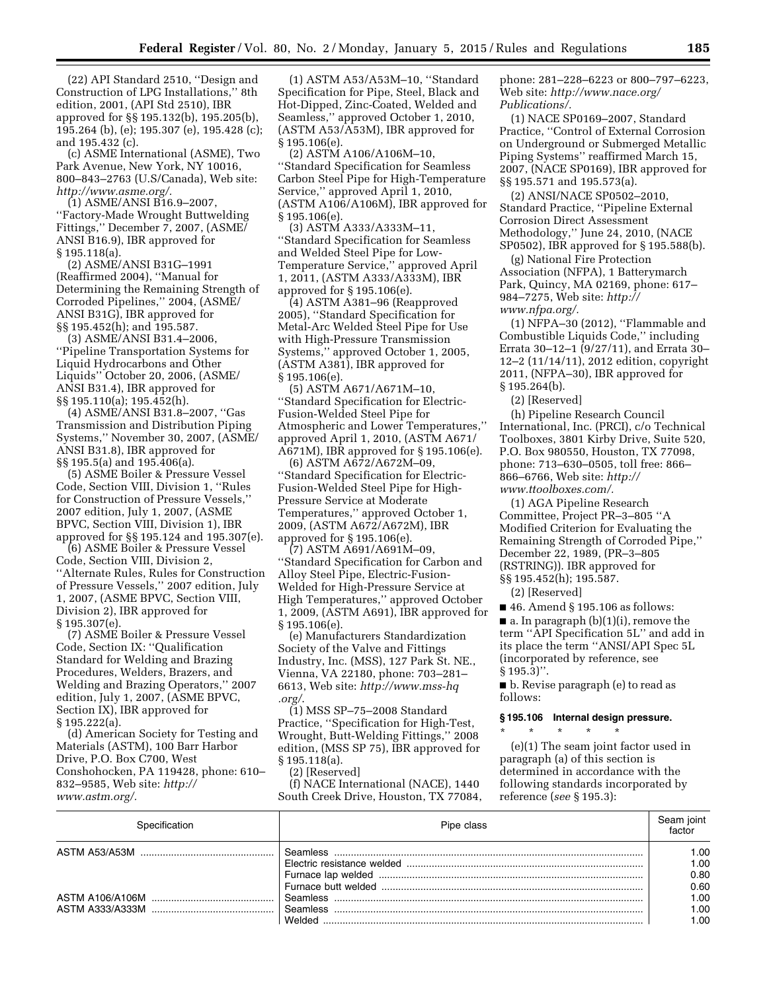(22) API Standard 2510, ''Design and Construction of LPG Installations,'' 8th edition, 2001, (API Std 2510), IBR approved for §§ 195.132(b), 195.205(b), 195.264 (b), (e); 195.307 (e), 195.428 (c); and 195.432 (c).

(c) ASME International (ASME), Two Park Avenue, New York, NY 10016, 800–843–2763 (U.S/Canada), Web site: *[http://www.asme.org/.](http://www.asme.org/)* 

(1) ASME/ANSI B16.9–2007, ''Factory-Made Wrought Buttwelding Fittings,'' December 7, 2007, (ASME/ ANSI B16.9), IBR approved for § 195.118(a).

(2) ASME/ANSI B31G–1991 (Reaffirmed 2004), ''Manual for Determining the Remaining Strength of Corroded Pipelines,'' 2004, (ASME/ ANSI B31G), IBR approved for §§ 195.452(h); and 195.587.

(3) ASME/ANSI B31.4–2006, ''Pipeline Transportation Systems for Liquid Hydrocarbons and Other Liquids'' October 20, 2006, (ASME/ ANSI B31.4), IBR approved for §§ 195.110(a); 195.452(h).

(4) ASME/ANSI B31.8–2007, ''Gas Transmission and Distribution Piping Systems,'' November 30, 2007, (ASME/ ANSI B31.8), IBR approved for §§ 195.5(a) and 195.406(a).

(5) ASME Boiler & Pressure Vessel Code, Section VIII, Division 1, ''Rules for Construction of Pressure Vessels,'' 2007 edition, July 1, 2007, (ASME BPVC, Section VIII, Division 1), IBR approved for §§ 195.124 and 195.307(e).

(6) ASME Boiler & Pressure Vessel Code, Section VIII, Division 2, ''Alternate Rules, Rules for Construction of Pressure Vessels,'' 2007 edition, July 1, 2007, (ASME BPVC, Section VIII, Division 2), IBR approved for § 195.307(e).

(7) ASME Boiler & Pressure Vessel Code, Section IX: ''Qualification Standard for Welding and Brazing Procedures, Welders, Brazers, and Welding and Brazing Operators,'' 2007 edition, July 1, 2007, (ASME BPVC, Section IX), IBR approved for § 195.222(a).

(d) American Society for Testing and Materials (ASTM), 100 Barr Harbor Drive, P.O. Box C700, West Conshohocken, PA 119428, phone: 610– 832–9585, Web site: *[http://](http://www.astm.org/) [www.astm.org/.](http://www.astm.org/)* 

(1) ASTM A53/A53M–10, ''Standard Specification for Pipe, Steel, Black and Hot-Dipped, Zinc-Coated, Welded and Seamless,'' approved October 1, 2010, (ASTM A53/A53M), IBR approved for § 195.106(e).

(2) ASTM A106/A106M–10, ''Standard Specification for Seamless Carbon Steel Pipe for High-Temperature Service,'' approved April 1, 2010, (ASTM A106/A106M), IBR approved for § 195.106(e).

(3) ASTM A333/A333M–11, ''Standard Specification for Seamless and Welded Steel Pipe for Low-Temperature Service,'' approved April 1, 2011, (ASTM A333/A333M), IBR approved for § 195.106(e).

(4) ASTM A381–96 (Reapproved 2005), ''Standard Specification for Metal-Arc Welded Steel Pipe for Use with High-Pressure Transmission Systems,'' approved October 1, 2005, (ASTM A381), IBR approved for § 195.106(e).

(5) ASTM A671/A671M–10, ''Standard Specification for Electric-Fusion-Welded Steel Pipe for Atmospheric and Lower Temperatures,'' approved April 1, 2010, (ASTM A671/ A671M), IBR approved for § 195.106(e).

(6) ASTM A672/A672M–09, ''Standard Specification for Electric-Fusion-Welded Steel Pipe for High-Pressure Service at Moderate Temperatures,'' approved October 1, 2009, (ASTM A672/A672M), IBR approved for § 195.106(e).

(7) ASTM A691/A691M–09, ''Standard Specification for Carbon and Alloy Steel Pipe, Electric-Fusion-Welded for High-Pressure Service at High Temperatures,'' approved October 1, 2009, (ASTM A691), IBR approved for § 195.106(e).

(e) Manufacturers Standardization Society of the Valve and Fittings Industry, Inc. (MSS), 127 Park St. NE., Vienna, VA 22180, phone: 703–281– 6613, Web site: *[http://www.mss-hq](http://www.mss-hq.org/) [.org/](http://www.mss-hq.org/)*.

(1) MSS SP–75–2008 Standard Practice, ''Specification for High-Test, Wrought, Butt-Welding Fittings,'' 2008 edition, (MSS SP 75), IBR approved for § 195.118(a).

(2) [Reserved]

(f) NACE International (NACE), 1440 South Creek Drive, Houston, TX 77084, phone: 281–228–6223 or 800–797–6223, Web site: *[http://www.nace.org/](http://www.nace.org/Publications/) [Publications/.](http://www.nace.org/Publications/)* 

(1) NACE SP0169–2007, Standard Practice, ''Control of External Corrosion on Underground or Submerged Metallic Piping Systems'' reaffirmed March 15, 2007, (NACE SP0169), IBR approved for §§ 195.571 and 195.573(a).

(2) ANSI/NACE SP0502–2010, Standard Practice, ''Pipeline External Corrosion Direct Assessment Methodology,'' June 24, 2010, (NACE SP0502), IBR approved for § 195.588(b).

(g) National Fire Protection Association (NFPA), 1 Batterymarch Park, Quincy, MA 02169, phone: 617– 984–7275, Web site: *[http://](http://www.nfpa.org/) [www.nfpa.org/.](http://www.nfpa.org/)* 

(1) NFPA–30 (2012), ''Flammable and Combustible Liquids Code,'' including Errata 30–12–1 (9/27/11), and Errata 30– 12–2 (11/14/11), 2012 edition, copyright 2011, (NFPA–30), IBR approved for § 195.264(b).

(2) [Reserved]

(h) Pipeline Research Council International, Inc. (PRCI), c/o Technical Toolboxes, 3801 Kirby Drive, Suite 520, P.O. Box 980550, Houston, TX 77098, phone: 713–630–0505, toll free: 866– 866–6766, Web site: *[http://](http://www.ttoolboxes.com/) [www.ttoolboxes.com/.](http://www.ttoolboxes.com/)* 

(1) AGA Pipeline Research Committee, Project PR–3–805 ''A Modified Criterion for Evaluating the Remaining Strength of Corroded Pipe,'' December 22, 1989, (PR–3–805 (RSTRING)). IBR approved for §§ 195.452(h); 195.587.

(2) [Reserved]

■ 46. Amend § 195.106 as follows:  $\blacksquare$  a. In paragraph (b)(1)(i), remove the term ''API Specification 5L'' and add in its place the term ''ANSI/API Spec 5L (incorporated by reference, see § 195.3)''.

■ b. Revise paragraph (e) to read as follows:

#### **§ 195.106 Internal design pressure.**

\* \* \* \* \*

(e)(1) The seam joint factor used in paragraph (a) of this section is determined in accordance with the following standards incorporated by reference (*see* § 195.3):

| Specification | Pipe class      | ioint<br>factor |
|---------------|-----------------|-----------------|
|               | Seamless        | 1.00            |
|               |                 | 1.00            |
|               |                 | 0.80            |
|               |                 | 0.60            |
|               | Seamless        | 1.00            |
|               | <b>Seamless</b> | 1.00            |
|               | <b>Welded</b>   | L.OO.           |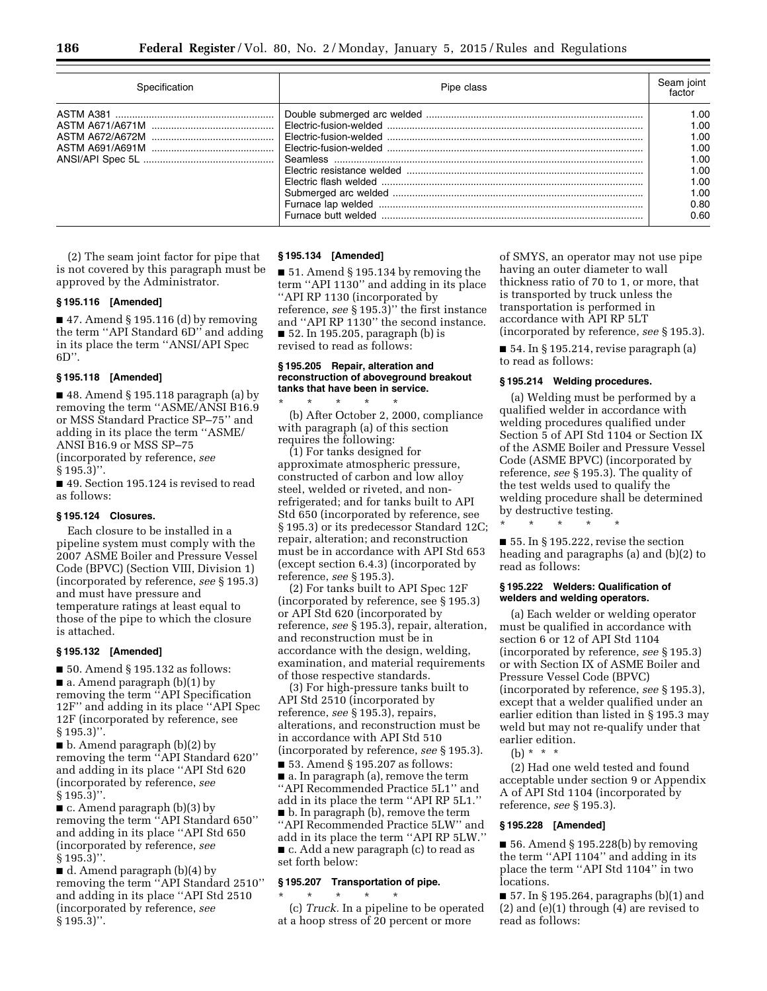| Specification | Pipe class | Seam joint<br>factor                                                         |
|---------------|------------|------------------------------------------------------------------------------|
|               |            | 1.00<br>1.00<br>1.00<br>1.00<br>1.00<br>1.00<br>1.00<br>1.00<br>0.80<br>0.60 |

(2) The seam joint factor for pipe that is not covered by this paragraph must be approved by the Administrator.

### **§ 195.116 [Amended]**

 $\blacksquare$  47. Amend § 195.116 (d) by removing the term ''API Standard 6D'' and adding in its place the term ''ANSI/API Spec  $6D$ ".

## **§ 195.118 [Amended]**

■ 48. Amend § 195.118 paragraph (a) by removing the term ''ASME/ANSI B16.9 or MSS Standard Practice SP–75'' and adding in its place the term ''ASME/ ANSI B16.9 or MSS SP–75 (incorporated by reference, *see*   $§ 195.3$ ".

■ 49. Section 195.124 is revised to read as follows:

### **§ 195.124 Closures.**

Each closure to be installed in a pipeline system must comply with the 2007 ASME Boiler and Pressure Vessel Code (BPVC) (Section VIII, Division 1) (incorporated by reference, *see* § 195.3) and must have pressure and temperature ratings at least equal to those of the pipe to which the closure is attached.

## **§ 195.132 [Amended]**

■ 50. Amend § 195.132 as follows: ■ a. Amend paragraph (b)(1) by removing the term ''API Specification 12F'' and adding in its place ''API Spec 12F (incorporated by reference, see  $§ 195.3$ ".

■ b. Amend paragraph (b)(2) by removing the term ''API Standard 620'' and adding in its place ''API Std 620 (incorporated by reference, *see*   $§ 195.3$ ".

■ c. Amend paragraph (b)(3) by removing the term ''API Standard 650'' and adding in its place ''API Std 650 (incorporated by reference, *see*   $§ 195.3$ ".

■ d. Amend paragraph (b)(4) by removing the term ''API Standard 2510'' and adding in its place ''API Std 2510 (incorporated by reference, *see*  § 195.3)''.

#### **§ 195.134 [Amended]**

■ 51. Amend § 195.134 by removing the term ''API 1130'' and adding in its place ''API RP 1130 (incorporated by reference, *see* § 195.3)'' the first instance and ''API RP 1130'' the second instance. ■ 52. In 195.205, paragraph (b) is revised to read as follows:

### **§ 195.205 Repair, alteration and reconstruction of aboveground breakout tanks that have been in service.**

\* \* \* \* \* (b) After October 2, 2000, compliance with paragraph (a) of this section requires the following:

(1) For tanks designed for approximate atmospheric pressure, constructed of carbon and low alloy steel, welded or riveted, and nonrefrigerated; and for tanks built to API Std 650 (incorporated by reference, see § 195.3) or its predecessor Standard 12C; repair, alteration; and reconstruction must be in accordance with API Std 653 (except section 6.4.3) (incorporated by reference, *see* § 195.3).

(2) For tanks built to API Spec 12F (incorporated by reference, see § 195.3) or API Std 620 (incorporated by reference, *see* § 195.3), repair, alteration, and reconstruction must be in accordance with the design, welding, examination, and material requirements of those respective standards.

(3) For high-pressure tanks built to API Std 2510 (incorporated by reference, *see* § 195.3), repairs, alterations, and reconstruction must be in accordance with API Std 510 (incorporated by reference, *see* § 195.3). ■ 53. Amend § 195.207 as follows:

■ a. In paragraph (a), remove the term ''API Recommended Practice 5L1'' and add in its place the term ''API RP 5L1.'' ■ b. In paragraph (b), remove the term ''API Recommended Practice 5LW'' and add in its place the term ''API RP 5LW.'' ■ c. Add a new paragraph (c) to read as set forth below:

### **§ 195.207 Transportation of pipe.**

\* \* \* \* \*

(c) *Truck.* In a pipeline to be operated at a hoop stress of 20 percent or more

of SMYS, an operator may not use pipe having an outer diameter to wall thickness ratio of 70 to 1, or more, that is transported by truck unless the transportation is performed in accordance with API RP 5LT

(incorporated by reference, *see* § 195.3).

 $\blacksquare$  54. In § 195.214, revise paragraph (a) to read as follows:

# **§ 195.214 Welding procedures.**

(a) Welding must be performed by a qualified welder in accordance with welding procedures qualified under Section 5 of API Std 1104 or Section IX of the ASME Boiler and Pressure Vessel Code (ASME BPVC) (incorporated by reference, *see* § 195.3). The quality of the test welds used to qualify the welding procedure shall be determined by destructive testing.

\* \* \* \* \*

 $\blacksquare$  55. In § 195.222, revise the section heading and paragraphs (a) and (b)(2) to read as follows:

### **§ 195.222 Welders: Qualification of welders and welding operators.**

(a) Each welder or welding operator must be qualified in accordance with section 6 or 12 of API Std 1104 (incorporated by reference, *see* § 195.3) or with Section IX of ASME Boiler and Pressure Vessel Code (BPVC) (incorporated by reference, *see* § 195.3), except that a welder qualified under an earlier edition than listed in § 195.3 may weld but may not re-qualify under that earlier edition.

(b) \* \* \*

(2) Had one weld tested and found acceptable under section 9 or Appendix A of API Std 1104 (incorporated by reference, *see* § 195.3).

### **§ 195.228 [Amended]**

■ 56. Amend § 195.228(b) by removing the term ''API 1104'' and adding in its place the term ''API Std 1104'' in two locations.

■ 57. In § 195.264, paragraphs (b)(1) and (2) and (e)(1) through (4) are revised to read as follows: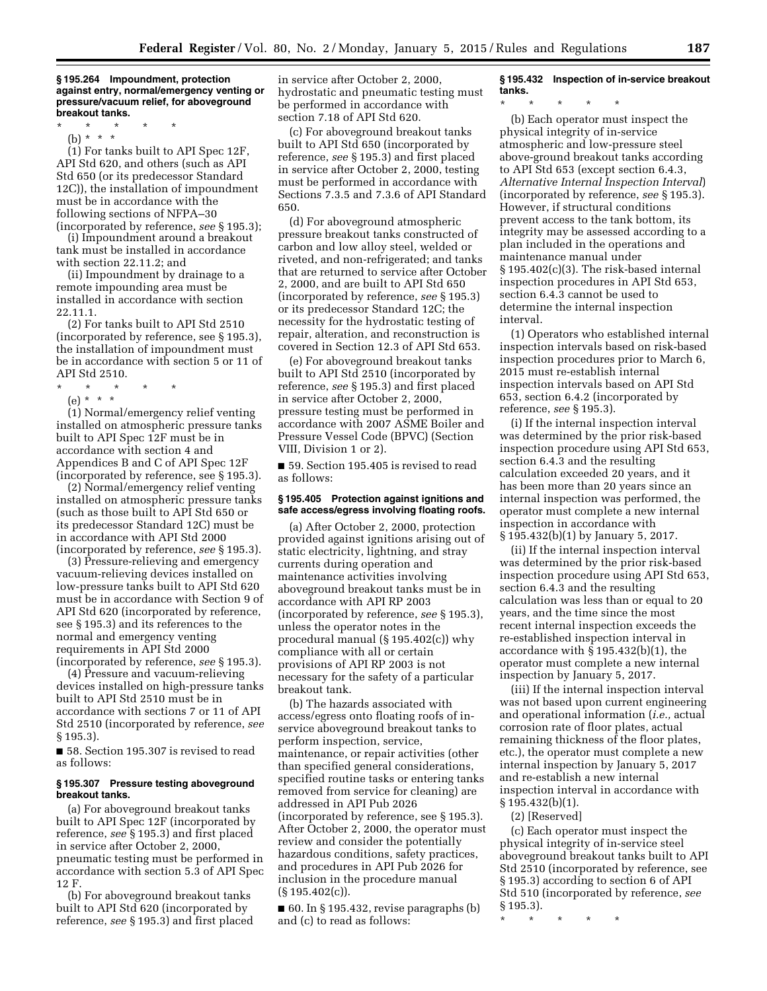**§ 195.264 Impoundment, protection against entry, normal/emergency venting or pressure/vacuum relief, for aboveground breakout tanks.** 

\* \* \* \* \*

(b) \* \* \*

(1) For tanks built to API Spec 12F, API Std 620, and others (such as API Std 650 (or its predecessor Standard 12C)), the installation of impoundment must be in accordance with the following sections of NFPA–30 (incorporated by reference, *see* § 195.3);

(i) Impoundment around a breakout tank must be installed in accordance with section 22.11.2; and

(ii) Impoundment by drainage to a remote impounding area must be installed in accordance with section 22.11.1.

(2) For tanks built to API Std 2510 (incorporated by reference, see § 195.3), the installation of impoundment must be in accordance with section 5 or 11 of API Std 2510.

- $*$  \*
- (e) \* \* \*

(1) Normal/emergency relief venting installed on atmospheric pressure tanks built to API Spec 12F must be in accordance with section 4 and Appendices B and C of API Spec 12F (incorporated by reference, see § 195.3).

(2) Normal/emergency relief venting installed on atmospheric pressure tanks (such as those built to API Std 650 or its predecessor Standard 12C) must be in accordance with API Std 2000 (incorporated by reference, *see* § 195.3).

(3) Pressure-relieving and emergency vacuum-relieving devices installed on low-pressure tanks built to API Std 620 must be in accordance with Section 9 of API Std 620 (incorporated by reference, see § 195.3) and its references to the normal and emergency venting requirements in API Std 2000 (incorporated by reference, *see* § 195.3).

(4) Pressure and vacuum-relieving devices installed on high-pressure tanks built to API Std 2510 must be in accordance with sections 7 or 11 of API Std 2510 (incorporated by reference, *see*  § 195.3).

■ 58. Section 195.307 is revised to read as follows:

## **§ 195.307 Pressure testing aboveground breakout tanks.**

(a) For aboveground breakout tanks built to API Spec 12F (incorporated by reference, *see* § 195.3) and first placed in service after October 2, 2000, pneumatic testing must be performed in accordance with section 5.3 of API Spec 12 F.

(b) For aboveground breakout tanks built to API Std 620 (incorporated by reference, *see* § 195.3) and first placed

in service after October 2, 2000, hydrostatic and pneumatic testing must be performed in accordance with section 7.18 of API Std 620.

(c) For aboveground breakout tanks built to API Std 650 (incorporated by reference, *see* § 195.3) and first placed in service after October 2, 2000, testing must be performed in accordance with Sections 7.3.5 and 7.3.6 of API Standard 650.

(d) For aboveground atmospheric pressure breakout tanks constructed of carbon and low alloy steel, welded or riveted, and non-refrigerated; and tanks that are returned to service after October 2, 2000, and are built to API Std 650 (incorporated by reference, *see* § 195.3) or its predecessor Standard 12C; the necessity for the hydrostatic testing of repair, alteration, and reconstruction is covered in Section 12.3 of API Std 653.

(e) For aboveground breakout tanks built to API Std 2510 (incorporated by reference, *see* § 195.3) and first placed in service after October 2, 2000, pressure testing must be performed in accordance with 2007 ASME Boiler and Pressure Vessel Code (BPVC) (Section VIII, Division 1 or 2).

■ 59. Section 195.405 is revised to read as follows:

### **§ 195.405 Protection against ignitions and safe access/egress involving floating roofs.**

(a) After October 2, 2000, protection provided against ignitions arising out of static electricity, lightning, and stray currents during operation and maintenance activities involving aboveground breakout tanks must be in accordance with API RP 2003 (incorporated by reference, *see* § 195.3), unless the operator notes in the procedural manual (§ 195.402(c)) why compliance with all or certain provisions of API RP 2003 is not necessary for the safety of a particular breakout tank.

(b) The hazards associated with access/egress onto floating roofs of inservice aboveground breakout tanks to perform inspection, service, maintenance, or repair activities (other than specified general considerations, specified routine tasks or entering tanks removed from service for cleaning) are addressed in API Pub 2026 (incorporated by reference, see § 195.3). After October 2, 2000, the operator must review and consider the potentially hazardous conditions, safety practices, and procedures in API Pub 2026 for inclusion in the procedure manual  $(S 195.402(c))$ .

 $\blacksquare$  60. In § 195.432, revise paragraphs (b) and (c) to read as follows:

# **§ 195.432 Inspection of in-service breakout tanks.**

\* \* \* \* \*

(b) Each operator must inspect the physical integrity of in-service atmospheric and low-pressure steel above-ground breakout tanks according to API Std 653 (except section 6.4.3, *Alternative Internal Inspection Interval*) (incorporated by reference, *see* § 195.3). However, if structural conditions prevent access to the tank bottom, its integrity may be assessed according to a plan included in the operations and maintenance manual under § 195.402(c)(3). The risk-based internal inspection procedures in API Std 653, section 6.4.3 cannot be used to determine the internal inspection interval.

(1) Operators who established internal inspection intervals based on risk-based inspection procedures prior to March 6, 2015 must re-establish internal inspection intervals based on API Std 653, section 6.4.2 (incorporated by reference, *see* § 195.3).

(i) If the internal inspection interval was determined by the prior risk-based inspection procedure using API Std 653, section 6.4.3 and the resulting calculation exceeded 20 years, and it has been more than 20 years since an internal inspection was performed, the operator must complete a new internal inspection in accordance with § 195.432(b)(1) by January 5, 2017.

(ii) If the internal inspection interval was determined by the prior risk-based inspection procedure using API Std 653, section 6.4.3 and the resulting calculation was less than or equal to 20 years, and the time since the most recent internal inspection exceeds the re-established inspection interval in accordance with § 195.432(b)(1), the operator must complete a new internal inspection by January 5, 2017.

(iii) If the internal inspection interval was not based upon current engineering and operational information (*i.e.,* actual corrosion rate of floor plates, actual remaining thickness of the floor plates, etc.), the operator must complete a new internal inspection by January 5, 2017 and re-establish a new internal inspection interval in accordance with § 195.432(b)(1).

(2) [Reserved]

(c) Each operator must inspect the physical integrity of in-service steel aboveground breakout tanks built to API Std 2510 (incorporated by reference, see § 195.3) according to section 6 of API Std 510 (incorporated by reference, *see*  § 195.3).

\* \* \* \* \*